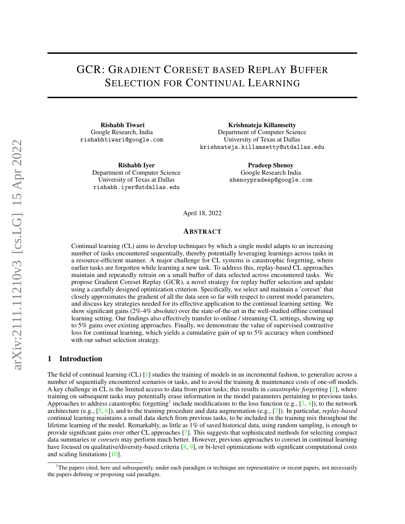# <span id="page-0-1"></span>GCR: GRADIENT CORESET BASED REPLAY BUFFER SELECTION FOR CONTINUAL LEARNING

Rishabh Tiwari Google Research, India rishabhtiwari@google.com

Krishnateja Killamsetty Department of Computer Science University of Texas at Dallas krishnateja.killamsetty@utdallas.edu

Rishabh Iyer Department of Computer Science University of Texas at Dallas rishabh.iyer@utdallas.edu

Pradeep Shenoy Google Research India shenoypradeep@google.com

April 18, 2022

#### ABSTRACT

Continual learning (CL) aims to develop techniques by which a single model adapts to an increasing number of tasks encountered sequentially, thereby potentially leveraging learnings across tasks in a resource-efficient manner. A major challenge for CL systems is catastrophic forgetting, where earlier tasks are forgotten while learning a new task. To address this, replay-based CL approaches maintain and repeatedly retrain on a small buffer of data selected across encountered tasks. We propose Gradient Coreset Replay (GCR), a novel strategy for replay buffer selection and update using a carefully designed optimization criterion. Specifically, we select and maintain a 'coreset' that closely approximates the gradient of all the data seen so far with respect to current model parameters, and discuss key strategies needed for its effective application to the continual learning setting. We show significant gains (2%-4% absolute) over the state-of-the-art in the well-studied offline continual learning setting. Our findings also effectively transfer to online / streaming CL settings, showing up to 5% gains over existing approaches. Finally, we demonstrate the value of supervised contrastive loss for continual learning, which yields a cumulative gain of up to 5% accuracy when combined with our subset selection strategy.

# 1 Introduction

The field of continual learning (CL) [\[1\]](#page-9-0) studies the training of models in an incremental fashion, to generalize across a number of sequentially encountered scenarios or tasks, and to avoid the training & maintenance costs of one-off models. A key challenge in CL is the limited access to data from prior tasks; this results in *catastrophic forgetting* [\[2\]](#page-9-1), where training on subsequent tasks may potentially erase information in the model parameters pertaining to previous tasks. Approaches to address catastrophic forgetting<sup>[1](#page-0-0)</sup> include modifications to the loss function (e.g.,  $[3, 4]$  $[3, 4]$  $[3, 4]$ ), to the network architecture (e.g., [\[5,](#page-9-4) [6\]](#page-9-5)), and to the training procedure and data augmentation (e.g., [\[7\]](#page-9-6)). In particular, *replay-based* continual learning maintains a small data sketch from previous tasks, to be included in the training mix throughout the lifetime learning of the model. Remarkably, as little as 1% of saved historical data, using random sampling, is enough to provide significant gains over other CL approaches [\[7\]](#page-9-6). This suggests that sophisticated methods for selecting compact data summaries or *coresets* may perform much better. However, previous approaches to coreset in continual learning have focused on qualitative/diversity-based criteria  $[8, 9]$  $[8, 9]$  $[8, 9]$ , or bi-level optimizations with significant computational costs and scaling limitations [\[10\]](#page-9-9).

<span id="page-0-0"></span><sup>1</sup>The papers cited, here and subsequently, under each paradigm or technique are representative or recent papers, not necessarily the papers defining or proposing said paradigm.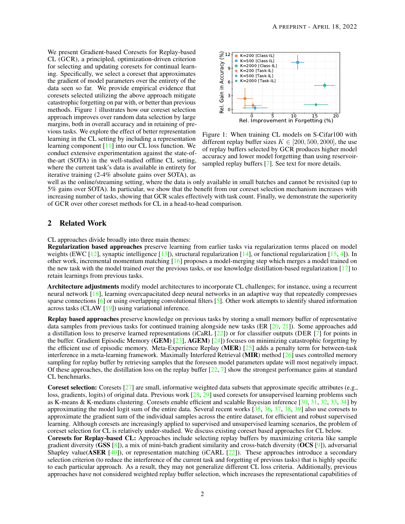<span id="page-1-1"></span>We present Gradient-based Coresets for Replay-based CL (GCR), a principled, optimization-driven criterion for selecting and updating coresets for continual learning. Specifically, we select a coreset that approximates the gradient of model parameters over the entirety of the data seen so far. We provide empirical evidence that coresets selected utilizing the above approach mitigate catastrophic forgetting on par with, or better than previous methods. Figure [1](#page-1-0) illustrates how our coreset selection approach improves over random data selection by large margins, both in overall accuracy and in retaining of previous tasks. We explore the effect of better representation learning in the CL setting by including a representation learning component [\[11\]](#page-9-10) into our CL loss function. We conduct extensive experimentation against the state-ofthe-art (SOTA) in the well-studied offline CL setting, where the current task's data is available in entirety for iterative training (2-4% absolute gains over SOTA), as



<span id="page-1-0"></span>Figure 1: When training CL models on S-Cifar100 with different replay buffer sizes  $K \in [200, 500, 2000]$ , the use of replay buffers selected by GCR produces higher model accuracy and lower model forgetting than using reservoir-sampled replay buffers [\[7\]](#page-9-6). See text for more details.

well as the online/streaming setting, where the data is only available in small batches and cannot be revisited (up to 5% gains over SOTA). In particular, we show that the benefit from our coreset selection mechanism increases with increasing number of tasks, showing that GCR scales effectively with task count. Finally, we demonstrate the superiority of GCR over other coreset methods for CL in a head-to-head comparison.

# 2 Related Work

CL approaches divide broadly into three main themes:

Regularization based approaches preserve learning from earlier tasks via regularization terms placed on model weights (EWC  $[12]$ , synaptic intelligence  $[13]$ ), structural regularization  $[14]$ , or functional regularization  $[15, 4]$  $[15, 4]$  $[15, 4]$ ). In other work, incremental momentum matching [\[16\]](#page-10-3) proposes a model-merging step which merges a model trained on the new task with the model trained over the previous tasks, or use knowledge distillation-based regularization [\[17\]](#page-10-4) to retain learnings from previous tasks.

Architecture adjustments modify model architectures to incorporate CL challenges; for instance, using a recurrent neural network [\[18\]](#page-10-5), learning overcapacitated deep neural networks in an adaptive way that repeatedly compresses sparse connections  $[6]$  or using overlapping convolutional filters  $[5]$ . Other work attempts to identify shared information across tasks (CLAW [\[19\]](#page-10-6)) using variational inference.

Replay based approaches preserve knowledge on previous tasks by storing a small memory buffer of representative data samples from previous tasks for continued training alongside new tasks (ER [\[20,](#page-10-7) [21\]](#page-10-8)). Some approaches add a distillation loss to preserve learned representations (iCaRL [\[22\]](#page-10-9)) or for classifier outputs (DER [\[7\]](#page-9-6) for points in the buffer. Gradient Episodic Memory (GEM) [\[23\]](#page-10-10), AGEM) [\[24\]](#page-10-11)) focuses on minimizing catastrophic forgetting by the efficient use of episodic memory. Meta-Experience Replay (MER) [\[25\]](#page-10-12) adds a penalty term for between-task interference in a meta-learning framework. Maximally Interfered Retrieval (MIR) method [\[26\]](#page-10-13) uses controlled memory sampling for replay buffer by retrieving samples that the foreseen model parameters update will most negatively impact. Of these approaches, the distillation loss on the replay buffer  $[22, 7]$  $[22, 7]$  $[22, 7]$  show the strongest performance gains at standard CL benchmarks.

**Coreset selection:** Coresets  $[27]$  are small, informative weighted data subsets that approximate specific attributes (e.g., loss, gradients, logits) of original data. Previous work [\[28,](#page-10-15) [29\]](#page-10-16) used coresets for unsupervised learning problems such as K-means & K-medians clustering. Coresets enable efficient and scalable Bayesian inference [\[30,](#page-10-17) [31,](#page-10-18) [32,](#page-10-19) [33,](#page-11-0) [34\]](#page-11-1) by approximating the model logit sum of the entire data. Several recent works [\[35,](#page-11-2) [36,](#page-11-3) [37,](#page-11-4) [38,](#page-11-5) [39\]](#page-11-6) also use coresets to approximate the gradient sum of the individual samples across the entire dataset, for efficient and robust supervised learning. Although coresets are increasingly applied to supervised and unsupervised learning scenarios, the problem of coreset selection for CL is relatively under-studied. We discuss existing coreset based approaches for CL below.

Coresets for Replay-based CL: Approaches include selecting replay buffers by maximizing criteria like sample gradient diversity (GSS [\[8\]](#page-9-7)), a mix of mini-batch gradient similarity and cross-batch diversity (OCS [\[9\]](#page-9-8)), adversarial Shapley value(**ASER** [\[40\]](#page-11-7)), or representation matching (iCARL [\[22\]](#page-10-9)). These approaches introduce a secondary selection criterion (to reduce the interference of the current task and forgetting of previous tasks) that is highly specific to each particular approach. As a result, they may not generalize different CL loss criteria. Additionally, previous approaches have not considered weighted replay buffer selection, which increases the representational capabilities of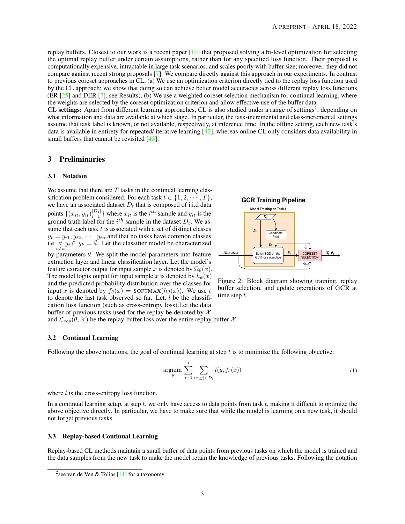<span id="page-2-2"></span>replay buffers. Closest to our work is a recent paper [\[10\]](#page-9-9) that proposed solving a bi-level optimization for selecting the optimal replay buffer under certain assumptions, rather than for any specified loss function. Their proposal is computationally expensive, intractable in large task scenarios, and scales poorly with buffer size; moreover, they did not compare against recent strong proposals [\[7\]](#page-9-6). We compare directly against this approach in our experiments. In contrast to previous coreset approaches in CL, (a) We use an optimization criterion directly tied to the replay loss function used by the CL approach; we show that doing so can achieve better model accuracies across different replay loss functions  $(ER [25]$  $(ER [25]$  and DER [\[7\]](#page-9-6), see Results), (b) We use a weighted coreset selection mechanism for continual learning, where the weights are selected by the coreset optimization criterion and allow effective use of the buffer data.

CL settings: Apart from different learning approaches, CL is also studied under a range of settings<sup>[2](#page-2-0)</sup>, depending on what information and data are available at which stage. In particular, the task-incremental and class-incremental settings assume that task label is known, or not available, respectively, at inference time. In the offline setting, each new task's data is available in entirety for repeated/ iterative learning [\[42\]](#page-11-8), whereas online CL only considers data availability in small buffers that cannot be revisited [\[43\]](#page-11-9).

#### 3 Preliminaries

#### 3.1 Notation

We assume that there are  $T$  tasks in the continual learning classification problem considered. For each task  $t \in \{1, 2, \dots, T\}$ , we have an associated dataset  $D_t$  that is composed of i.i.d data points  $\{(x_{it}, y_{it})_{i=1}^{|D_t|}\}$  where  $x_{it}$  is the  $i^{th}$  sample and  $y_{it}$  is the ground truth label for the  $i^{th}$  sample in the dataset  $D_t$ . We assume that each task  $t$  is associated with a set of distinct classes  $y_t = y_{t1}, y_{t2}, \dots, y_{tn}$  and that no tasks have common classes i.e  $\bigvee_{t \neq k} y_t \cap y_k = \emptyset$ . Let the classifier model be characterized

by parameters  $\theta$ . We split the model parameters into feature extraction layer and linear classification layer. Let the model's feature extractor output for input sample x is denoted by  $\Omega_{\theta}(x)$ . The model logits output for input sample x is denoted by  $h_{\theta}(x)$ and the predicted probability distribution over the classes for input x is denoted by  $f_{\theta}(x) = \text{SOFTMAX}(h_{\theta}(x))$ . We use t to denote the last task observed so far. Let,  $l$  be the classification loss function (such as cross-entropy loss).Let the data buffer of previous tasks used for the replay be denoted by  $\mathcal X$ 

# **GCR Training Pipeline**



<span id="page-2-1"></span>Figure 2: Block diagram showing training, replay buffer selection, and update operations of GCR at time step t.

and  $\mathcal{L}_{rep}(\theta, \mathcal{X})$  be the replay-buffer loss over the entire replay buffer X.

#### 3.2 Continual Learning

Following the above notations, the goal of continual learning at step  $t$  is to minimize the following objective:

$$
\underset{\theta}{\text{argmin}} \sum_{i=1}^{t} \sum_{(x,y)\in D_i} l(y, f_{\theta}(x))
$$
\n(1)

where  $l$  is the cross-entropy loss function.

In a continual learning setup, at step  $t$ , we only have access to data points from task  $t$ , making it difficult to optimize the above objective directly. In particular, we have to make sure that while the model is learning on a new task, it should not forget previous tasks.

#### 3.3 Replay-based Continual Learning

Replay-based CL methods maintain a small buffer of data points from previous tasks on which the model is trained and the data samples from the new task to make the model retain the knowledge of previous tasks. Following the notation

<span id="page-2-0"></span><sup>&</sup>lt;sup>2</sup> see van de Ven & Tolias  $[41]$  for a taxonomy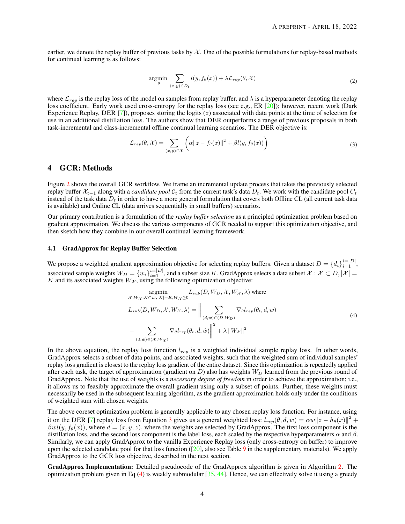<span id="page-3-2"></span>earlier, we denote the replay buffer of previous tasks by  $\mathcal X$ . One of the possible formulations for replay-based methods for continual learning is as follows:

<span id="page-3-0"></span>
$$
\underset{\theta}{\text{argmin}} \sum_{(x,y)\in D_t} l(y, f_{\theta}(x)) + \lambda \mathcal{L}_{rep}(\theta, \mathcal{X})
$$
\n(2)

where  $\mathcal{L}_{rep}$  is the replay loss of the model on samples from replay buffer, and  $\lambda$  is a hyperparameter denoting the replay loss coefficient. Early work used cross-entropy for the replay loss (see e.g., ER [\[20\]](#page-10-7)); however, recent work (Dark Experience Replay, DER  $[7]$ ), proposes storing the logits  $(z)$  associated with data points at the time of selection for use in an additional distillation loss. The authors show that DER outperforms a range of previous proposals in both task-incremental and class-incremental offline continual learning scenarios. The DER objective is:

$$
\mathcal{L}_{rep}(\theta, \mathcal{X}) = \sum_{(x, y) \in \mathcal{X}} \left( \alpha ||z - f_{\theta}(x)||^2 + \beta l(y, f_{\theta}(x)) \right)
$$
(3)

## 4 GCR: Methods

Figure [2](#page-2-1) shows the overall GCR workflow. We frame an incremental update process that takes the previously selected replay buffer  $X_{t-1}$  along with a *candidate pool*  $C_t$  from the current task's data  $D_t$ . We work with the candidate pool  $C_t$ instead of the task data  $D_t$  in order to have a more general formulation that covers both Offline CL (all current task data is available) and Online CL (data arrives sequentially in small buffers) scenarios.

Our primary contribution is a formulation of the *replay buffer selection* as a principled optimization problem based on gradient approximation. We discuss the various components of GCR needed to support this optimization objective, and then sketch how they combine in our overall continual learning framework.

#### <span id="page-3-3"></span>4.1 GradApprox for Replay Buffer Selection

We propose a weighted gradient approximation objective for selecting replay buffers. Given a dataset  $D = \{d_i\}_{i=1}^{i=|D|}$ , associated sample weights  $W_D=\{w_i\}_{i=1}^{i=|D|}$ , and a subset size K, GradApprox selects a data subset  $\mathcal{X}: \mathcal{X}\subset D, |\mathcal{X}|=$ K and its associated weights  $W_{\mathcal{X}}$ , using the following optimization objective:

<span id="page-3-1"></span>
$$
\underset{\mathcal{X}, W_{\mathcal{X}}: \mathcal{X} \subset D, |\mathcal{X}| = K, W_{\mathcal{X}} \ge 0}{\text{argmin}} L_{sub}(D, W_D, \mathcal{X}, W_{\mathcal{X}}, \lambda) \text{ where}
$$
\n
$$
L_{sub}(D, W_D, \mathcal{X}, W_{\mathcal{X}}, \lambda) = \Big\| \sum_{(d, w) \in (D, W_D)} \nabla_{\theta} l_{rep}(\theta_t, d, w)
$$
\n
$$
- \sum_{(\hat{d}, \hat{w}) \in (\mathcal{X}, W_{\mathcal{X}})} \nabla_{\theta} l_{rep}(\theta_t, \hat{d}, \hat{w}) \Big\|^2 + \lambda \|W_{\mathcal{X}}\|^2
$$
\n(4)

In the above equation, the replay loss function  $l_{ren}$  is a weighted individual sample replay loss. In other words, GradApprox selects a subset of data points, and associated weights, such that the weighted sum of individual samples' replay loss gradient is closest to the replay loss gradient of the entire dataset. Since this optimization is repeatedly applied after each task, the target of approximation (gradient on  $D$ ) also has weights  $W_D$  learned from the previous round of GradApprox. Note that the use of weights is a *necessary degree of freedom* in order to achieve the approximation; i.e., it allows us to feasibly approximate the overall gradient using only a subset of points. Further, these weights must necessarily be used in the subsequent learning algorithm, as the gradient approximation holds only under the conditions of weighted sum with chosen weights.

The above coreset optimization problem is generally applicable to any chosen replay loss function. For instance, using it on the DER [\[7\]](#page-9-6) replay loss from Equation [3](#page-3-0) gives us a general weighted loss:  $l_{rep}(\theta, d, w) = \alpha w ||z - h_{\theta}(x)||^2 +$  $\beta w l(y, f_{\theta}(x))$ , where  $d = (x, y, z)$ , where the weights are selected by GradApprox. The first loss component is the distillation loss, and the second loss component is the label loss, each scaled by the respective hyperparameters  $\alpha$  and  $\beta$ . Similarly, we can apply GradApprox to the vanilla Experience Replay loss (only cross-entropy on buffer) to improve upon the selected candidate pool for that loss function ( $[20]$ , also see Table [9](#page-13-0) in the supplementary materials). We apply GradApprox to the GCR loss objective, described in the next section.

GradApprox Implementation: Detailed pseudocode of the GradApprox algorithm is given in Algorithm [2.](#page-5-0) The optimization problem given in Eq [\(4\)](#page-3-1) is weakly submodular  $[35, 44]$  $[35, 44]$  $[35, 44]$ . Hence, we can effectively solve it using a greedy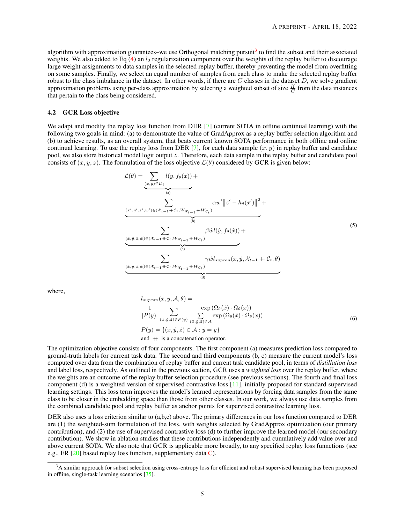<span id="page-4-1"></span>algorithm with approximation guarantees–we use Orthogonal matching pursuit<sup>[3](#page-4-0)</sup> to find the subset and their associated weights. We also added to Eq [\(4\)](#page-3-1) an  $l_2$  regularization component over the weights of the replay buffer to discourage large weight assignments to data samples in the selected replay buffer, thereby preventing the model from overfitting on some samples. Finally, we select an equal number of samples from each class to make the selected replay buffer robust to the class imbalance in the dataset. In other words, if there are  $C$  classes in the dataset  $D$ , we solve gradient approximation problems using per-class approximation by selecting a weighted subset of size  $\frac{K}{C}$  from the data instances that pertain to the class being considered.

### <span id="page-4-2"></span>4.2 GCR Loss objective

We adapt and modify the replay loss function from DER [\[7\]](#page-9-6) (current SOTA in offline continual learning) with the following two goals in mind: (a) to demonstrate the value of GradApprox as a replay buffer selection algorithm and (b) to achieve results, as an overall system, that beats current known SOTA performance in both offline and online continual learning. To use the replay loss from DER [\[7\]](#page-9-6), for each data sample  $(x, y)$  in replay buffer and candidate pool, we also store historical model logit output z. Therefore, each data sample in the replay buffer and candidate pool consists of  $(x, y, z)$ . The formulation of the loss objective  $\mathcal{L}(\theta)$  considered by GCR is given below:

$$
\mathcal{L}(\theta) = \underbrace{\sum_{(x,y)\in D_t} l(y, f_{\theta}(x))}_{(a)} + \underbrace{\sum_{(x',y',z',w')\in(\mathcal{X}_{t-1}+\mathcal{C}_t, W_{\mathcal{X}_{t-1}}+W_{\mathcal{C}_t})}^{\text{(a)}}}_{(b)} \alpha w' || z' - h_{\theta}(x') ||^2 + \underbrace{\sum_{(x,\hat{y},\hat{z},\hat{w})\in(\mathcal{X}_{t-1}+\mathcal{C}_t, W_{\mathcal{X}_{t-1}}+W_{\mathcal{C}_t})}^{\text{(b)}}}_{(c)}
$$
\n
$$
\underbrace{\sum_{(x,\hat{y},\hat{z},\hat{w})\in(\mathcal{X}_{t-1}+\mathcal{C}_t, W_{\mathcal{X}_{t-1}}+W_{\mathcal{C}_t})}^{\text{(d)}}}_{(d)}
$$
\n(5)

where,

$$
l_{supcon}(x, y, A, \theta) =
$$
  
\n
$$
\frac{1}{|P(y)|} \sum_{(x, y, z) \in P(y)} \frac{\exp(\Omega_{\theta}(x) \cdot \Omega_{\theta}(x))}{\sum_{(\bar{x}, \bar{y}, \bar{z}) \in A} \exp(\Omega_{\theta}(\bar{x}) \cdot \Omega_{\theta}(x))}
$$
  
\n
$$
P(y) = \{(x, y, z) \in A : y = y\}
$$
  
\nand  $+$  is a concatenation operator. (6)

The optimization objective consists of four components. The first component (a) measures prediction loss compared to ground-truth labels for current task data. The second and third components (b, c) measure the current model's loss computed over data from the combination of replay buffer and current task candidate pool, in terms of *distillation loss* and label loss, respectively. As outlined in the previous section, GCR uses a *weighted loss* over the replay buffer, where the weights are an outcome of the replay buffer selection procedure (see previous sections). The fourth and final loss component (d) is a weighted version of supervised contrastive loss [\[11\]](#page-9-10), initially proposed for standard supervised learning settings. This loss term improves the model's learned representations by forcing data samples from the same class to be closer in the embedding space than those from other classes. In our work, we always use data samples from the combined candidate pool and replay buffer as anchor points for supervised contrastive learning loss.

DER also uses a loss criterion similar to (a,b,c) above. The primary differences in our loss function compared to DER are (1) the weighted-sum formulation of the loss, with weights selected by GradApprox optimization (our primary contribution), and (2) the use of supervised contrastive loss (d) to further improve the learned model (our secondary contribution). We show in ablation studies that these contributions independently and cumulatively add value over and above current SOTA. We also note that GCR is applicable more broadly, to any specified replay loss funnctions (see e.g., ER [\[20\]](#page-10-7) based replay loss function, supplementary data [C\)](#page-13-1).

<span id="page-4-0"></span><sup>&</sup>lt;sup>3</sup>A similar approach for subset selection using cross-entropy loss for efficient and robust supervised learning has been proposed in offline, single-task learning scenarios [\[35\]](#page-11-2).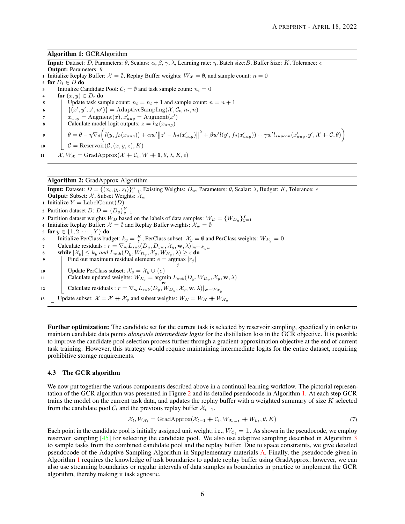#### <span id="page-5-2"></span>Algorithm 1: GCRAlgorithm

**Input:** Dataset: D, Parameters: θ, Scalars:  $\alpha$ ,  $\beta$ ,  $\gamma$ ,  $\lambda$ , Learning rate: η, Batch size: B, Buffer Size: K, Tolerance:  $\epsilon$ 

Output: Parameters: θ

1 Initialize Replay Buffer:  $\mathcal{X} = \emptyset$ , Replay Buffer weights:  $W_{\mathcal{X}} = \emptyset$ , and sample count:  $n = 0$ 

2 for  $D_t \in D$  do

3 | Initialize Candidate Pool:  $C_t = \emptyset$  and task sample count:  $n_t = 0$ 

4 for  $(x, y) \in D_t$  do

5 Update task sample count:  $n_t = n_t + 1$  and sample count:  $n = n + 1$ 

6  $\{ (x', y', z', w') \} = \text{AdaptiveSampling}(\mathcal{X}, \mathcal{C}_t, n_t, n)$ 

- $\tau$  |  $x_{aug} = \text{Augment}(x), x'_{aug} = \text{Augment}(x')$
- 8 | Calculate model logit outputs:  $z = h_{\theta}(x_{aug})$
- $\begin{equation} \theta = \theta \eta \nabla_{\theta} \bigg( l(y, f_{\theta}(x_{aug})) + \alpha w' \big\| z' h_{\theta}(x'_{aug}) \big\|^2 + \beta w' l(y', f_{\theta}(x'_{aug})) + \gamma w' l_{supcon}(x'_{aug}, y', \mathcal{X} + \mathcal{C}, \theta) \bigg) \end{equation}$
- 10  $\mathcal{C} = \text{Reservoir}(\mathcal{C}, (x, y, z), K)$
- <span id="page-5-1"></span>11  $\mathcal{X}, W_{\mathcal{X}} = \text{GradApprox}(\mathcal{X} + \mathcal{C}_t, W + \mathbb{1}, \theta, \lambda, K, \epsilon)$

## Algorithm 2: GradApprox Algorithm

**Input:** Dataset:  $D = \{(x_i, y_i, z_i)\}_{i=1}^n$ , Existing Weights:  $D_w$ , Parameters:  $\theta$ , Scalar:  $\lambda$ , Budget: K, Tolerance:  $\epsilon$ **Output:** Subset:  $\mathcal{X}$ , Subset Weights:  $\mathcal{X}_w$ 1 Initialize  $Y = \text{LabelCount}(D)$ 2 Partition dataset  $D: D = \{D_y\}_{y=1}^Y$ 3 Partition dataset weights  $W_D$  based on the labels of data samples:  $W_D = \{W_{D_y}\}_{y=1}^Y$ 4 Initialize Replay Buffer:  $\mathcal{X} = \emptyset$  and Replay Buffer weights:  $\mathcal{X}_w = \emptyset$ 5 for  $y \in \{1, 2, \dots, Y\}$  do 6 | Initialize PerClass budget:  $k_y = \frac{K}{Y}$ , PerClass subset:  $\mathcal{X}_y = \emptyset$  and PerClass weights:  $W_{\mathcal{X}_y} = \mathbf{0}$ 7 Calculate residuals :  $r = \nabla_{\mathbf{w}} L_{sub}(D_y, D_{yw}, X_y, \mathbf{w}, \lambda)|_{\mathbf{w} = X_{yw}}$ **8** while  $|\mathcal{X}_y| \le k_y$  and  $L_{sub}(D_y, W_{D_y}, \mathcal{X}_y, W_{\mathcal{X}_y}, \lambda) \ge \epsilon$  do 9 | Find out maximum residual element:  $e = \text{argmax} |r_j|$ j 10 | Update PerClass subset:  $\mathcal{X}_y = \mathcal{X}_y \cup \{e\}$ 11 Calculate updated weights:  $W_{\mathcal{X}_y} = \text{argmin } L_{sub}(D_y, W_{D_y}, \mathcal{X}_y, \mathbf{w}, \lambda)$ 12 Calculate residuals :  $r = \nabla_{\mathbf{w}} L_{sub}(D_y, W_{D_y}, \mathcal{X}_y, \mathbf{w}, \lambda)|_{\mathbf{w} = W_{\mathcal{X}_y}}$ 13 Update subset:  $\mathcal{X} = \mathcal{X} + \mathcal{X}_y$  and subset weights:  $W_{\mathcal{X}} = W_{\mathcal{X}} + W_{\mathcal{X}_y}$ 

<span id="page-5-0"></span>Further optimization: The candidate set for the current task is selected by reservoir sampling, specifically in order to maintain candidate data points *alongside intermediate logits* for the distillation loss in the GCR objective. It is possible to improve the candidate pool selection process further through a gradient-approximation objective at the end of current task training. However, this strategy would require maintaining intermediate logits for the entire dataset, requiring prohibitive storage requirements.

#### 4.3 The GCR algorithm

We now put together the various components described above in a continual learning workflow. The pictorial representation of the GCR algorithm was presented in Figure [2](#page-2-1) and its detailed pseudocode in Algorithm [1.](#page-5-1) At each step GCR trains the model on the current task data, and updates the replay buffer with a weighted summary of size K selected from the candidate pool  $C_t$  and the previous replay buffer  $\mathcal{X}_{t-1}$ .

$$
\mathcal{X}_t, W_{\mathcal{X}_t} = \text{GradApprox}(\mathcal{X}_{t-1} + \mathcal{C}_t, W_{\mathcal{X}_{t-1}} + W_{\mathcal{C}_t}, \theta, K) \tag{7}
$$

Each point in the candidate pool is initially assigned unit weight; i.e.,  $W_{\mathcal{C}_t} = \mathbb{1}$ . As shown in the pseudocode, we employ reservoir sampling [\[45\]](#page-11-12) for selecting the candidate pool. We also use adaptive sampling described in Algorithm [3](#page-12-0) to sample tasks from the combined candidate pool and the replay buffer. Due to space constraints, we give detailed pseudocode of the Adaptive Sampling Algorithm in Supplementary materials [A.](#page-12-1) Finally, the pseudocode given in Algorithm [1](#page-5-1) requires the knowledge of task boundaries to update replay buffer using GradApprox; however, we can also use streaming boundaries or regular intervals of data samples as boundaries in practice to implement the GCR algorithm, thereby making it task agnostic.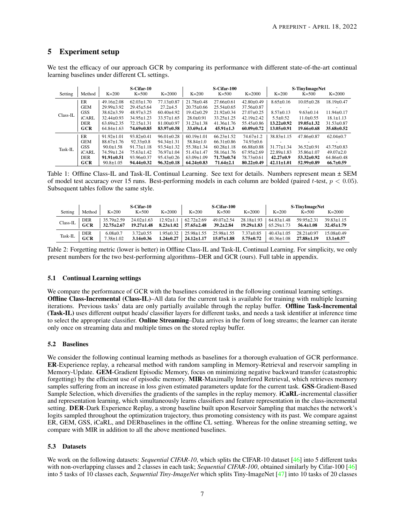# <span id="page-6-2"></span>5 Experiment setup

We test the efficacy of our approach GCR by comparing its performance with different state-of-the-art continual learning baselines under different CL settings.

|            |            |                  | S-Cifar-10       |                  |                  | S-Cifar-100      |                  |                  | S-TinyImageNet   |                  |
|------------|------------|------------------|------------------|------------------|------------------|------------------|------------------|------------------|------------------|------------------|
| Setting    | Method     | $K=200$          | $K=500$          | $K = 2000$       | $K=200$          | $K=500$          | $K = 2000$       | $K=200$          | $K=500$          | $K = 2000$       |
|            | ER         | $49.16 \pm 2.08$ | $62.03 \pm 1.70$ | $77.13 \pm 0.87$ | $21.78 \pm 0.48$ | $27.66 \pm 0.61$ | $42.80 \pm 0.49$ | $8.65 \pm 0.16$  | $10.05 \pm 0.28$ | $18.19 \pm 0.47$ |
|            | <b>GEM</b> | $29.99 + 3.92$   | $29.45 + 5.64$   | $27.2 + 4.5$     | $20.75 \pm 0.66$ | $25.54 \pm 0.65$ | $37.56 \pm 0.87$ |                  |                  |                  |
|            | <b>GSS</b> | $38.62 \pm 3.59$ | $48.97 \pm 3.25$ | $60.40\pm4.92$   | $19.42 \pm 0.29$ | $21.92 \pm 0.34$ | $27.07 \pm 0.25$ | $8.57 \pm 0.13$  | $9.63 \pm 0.14$  | $11.94 \pm 0.17$ |
| $Class-IL$ | iCARL      | $32.44 \pm 0.93$ | $34.95 \pm 1.23$ | $33.57 \pm 1.65$ | $28.0 \pm 0.91$  | $33.25 \pm 1.25$ | $42.19 \pm 2.42$ | $5.5 \pm 0.52$   | $11.0 \pm 0.55$  | $18.1 \pm 1.13$  |
|            | <b>DER</b> | $63.69 \pm 2.35$ | $72.15 \pm 1.31$ | $81.00 \pm 0.97$ | $31.23 \pm 1.38$ | $41.36 \pm 1.76$ | $55.45 \pm 0.86$ | $13.22 \pm 0.92$ | $19.05 \pm 1.32$ | $31.53 \pm 0.87$ |
|            | GCR        | $64.84 \pm 1.63$ | 74.69±0.85       | $83.97 \pm 0.58$ | $33.69 \pm 1.4$  | $45.91 \pm 1.3$  | $60.09 \pm 0.72$ | $13.05 \pm 0.91$ | 19.66±0.68       | $35.68 \pm 0.52$ |
|            | ER         | $91.92 \pm 1.01$ | $93.82 \pm 0.41$ | $96.01 \pm 0.28$ | $60.19 \pm 1.01$ | $66.23 \pm 1.52$ | $74.67 \pm 1.2$  | $38.83 \pm 1.15$ | $47.86 \pm 0.87$ | $62.04 \pm 0.7$  |
|            | <b>GEM</b> | $88.67 \pm 1.76$ | $92.33 \pm 0.8$  | $94.34 \pm 1.31$ | $58.84 \pm 1.0$  | $66.31 \pm 0.86$ | $74.93 \pm 0.6$  |                  |                  |                  |
|            | <b>GSS</b> | $90.0 \pm 1.58$  | $91.73 \pm 1.18$ | $93.54 \pm 1.32$ | $55.38 \pm 1.34$ | $60.28 \pm 1.18$ | $66.88 \pm 0.88$ | $31.77 \pm 1.34$ | $36.52 \pm 0.91$ | $43.75 \pm 0.83$ |
| Task-IL    | iCARL      | $74.59 \pm 1.24$ | $75.63 \pm 1.42$ | $76.97 \pm 1.04$ | $51.43 \pm 1.47$ | $58.16 \pm 1.76$ | $67.95 \pm 2.69$ | $22.89 \pm 1.83$ | $35.86 \pm 1.07$ | $49.07+2.0$      |
|            | <b>DER</b> | $91.91 \pm 0.51$ | $93.96 \pm 0.37$ | $95.43 \pm 0.26$ | $63.09 \pm 1.09$ | $71.73 \pm 0.74$ | $78.73 \pm 0.61$ | $42.27 \pm 0.9$  | $53.32 \pm 0.92$ | $64.86\pm0.48$   |
|            | GCR        | $90.8 \pm 1.05$  | $94.44 \pm 0.32$ | $96.32 \pm 0.18$ | $64.24 \pm 0.83$ | $71.64 \pm 2.1$  | $80.22 \pm 0.49$ | $42.11 \pm 1.01$ | $52.99 \pm 0.89$ | $66.7 \pm 0.59$  |

<span id="page-6-0"></span>Table 1: Offline Class-IL and Task-IL Continual Learning. See text for details. Numbers represent mean ± SEM of model test accuracy over 15 runs. Best-performing models in each column are bolded (paired t-test,  $p < 0.05$ ). Subsequent tables follow the same style.

|          |            |                  | S-Cifar-10       |                  |                  | S-Cifar-100      |                  |                  | S-TinyImageNet   |                  |
|----------|------------|------------------|------------------|------------------|------------------|------------------|------------------|------------------|------------------|------------------|
| Setting  | Method     | $K=200$          | $K=500$          | $K=2000$         | $K=200$          | $K=500$          | $K = 2000$       | $K=200$          | $K=500$          | $K = 2000$       |
| Class-IL | <b>DER</b> | $35.79 \pm 2.59$ | $24.02\pm1.63$   | $12.92 \pm 1.1$  | $62.72 \pm 2.69$ | $49.07 \pm 2.54$ | $28.18 \pm 1.93$ | $64.83 \pm 1.48$ | $59.95 \pm 2.31$ | $39.83 \pm 1.15$ |
|          | GCR        | $32.75 \pm 2.67$ | $19.27 \pm 1.48$ | $8.23 \pm 1.02$  | $57.65 \pm 2.48$ | $39.2 \pm 2.84$  | $19.29 \pm 1.83$ | $65.29 \pm 1.73$ | $56.4 \pm 1.08$  | $32.45 \pm 1.79$ |
| Task-IL  | <b>DER</b> | $6.08 \pm 0.7$   | $3.72 \pm 0.55$  | $.95 \pm 0.32$   | $25.98 \pm 1.55$ | $25.98 \pm 1.55$ | $7.37 \pm 0.85$  | $40.43 \pm 1.05$ | $2821+0.97$      | $15.08 \pm 0.49$ |
|          | GCR        | $7.38 \pm 1.02$  | $3.14 \pm 0.36$  | <b>1.24±0.27</b> | $24.12 \pm 1.17$ | $15.07{\pm}1.88$ | $5.75 \pm 0.72$  | $40.36 \pm 1.08$ | $27.88 \pm 1.19$ | $13.1 \pm 0.57$  |

<span id="page-6-1"></span>Table 2: Forgetting metric (lower is better) in Offline Class-IL and Task-IL Continual Learning. For simplicity, we only present numbers for the two best-performing algorithms–DER and GCR (ours). Full table in appendix.

# 5.1 Continual Learning settings

We compare the performance of GCR with the baselines considered in the following continual learning settings. Offline Class-Incremental (Class-IL)–All data for the current task is available for training with multiple learning iterations. Previous tasks' data are only partially available through the replay buffer. Offline Task-Incremental (Task-IL) uses different output heads/ classifier layers for different tasks, and needs a task identifier at inference time to select the appropriate classifier. Online Streaming–Data arrives in the form of long streams; the learner can iterate only once on streaming data and multiple times on the stored replay buffer.

# 5.2 Baselines

We consider the following continual learning methods as baselines for a thorough evaluation of GCR performance. ER-Experience replay, a rehearsal method with random sampling in Memory-Retrieval and reservoir sampling in Memory-Update. GEM-Gradient Episodic Memory, focus on minimizing negative backward transfer (catastrophic forgetting) by the efficient use of episodic memory. MIR-Maximally Interfered Retrieval, which retrieves memory samples suffering from an increase in loss given estimated parameters update for the current task. GSS-Gradient-Based Sample Selection, which diversifies the gradients of the samples in the replay memory. iCaRL-incremental classifier and representation learning, which simultaneously learns classifiers and feature representation in the class-incremental setting. DER-Dark Experience Replay, a strong baseline built upon Reservoir Sampling that matches the network's logits sampled throughout the optimization trajectory, thus promoting consistency with its past. We compare against ER, GEM, GSS, iCaRL, and DERbaselines in the offline CL setting. Whereas for the online streaming setting, we compare with MIR in addition to all the above mentioned baselines.

#### 5.3 Datasets

We work on the following datasets: *Sequential CIFAR-10*, which splits the CIFAR-10 dataset [\[46\]](#page-11-13) into 5 different tasks with non-overlapping classes and 2 classes in each task; *Sequential CIFAR-100*, obtained similarly by Cifar-100 [\[46\]](#page-11-13) into 5 tasks of 10 classes each, *Sequential Tiny-ImageNet* which splits Tiny-ImageNet [\[47\]](#page-11-14) into 10 tasks of 20 classes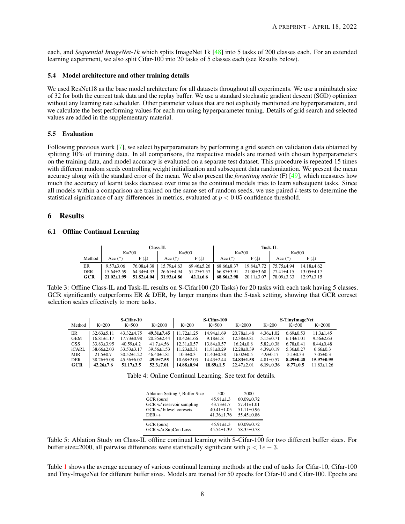<span id="page-7-3"></span>each, and *Sequential ImageNet-1k* which splits ImageNet 1k [\[48\]](#page-11-15) into 5 tasks of 200 classes each. For an extended learning experiment, we also split Cifar-100 into 20 tasks of 5 classes each (see Results below).

#### 5.4 Model architecture and other training details

We used ResNet18 as the base model architecture for all datasets throughout all experiments. We use a minibatch size of 32 for both the current task data and the replay buffer. We use a standard stochastic gradient descent (SGD) optimizer without any learning rate scheduler. Other parameter values that are not explicitly mentioned are hyperparameters, and we calculate the best performing values for each run using hyperparameter tuning. Details of grid search and selected values are added in the supplementary material.

#### 5.5 Evaluation

Following previous work [\[7\]](#page-9-6), we select hyperparameters by performing a grid search on validation data obtained by splitting 10% of training data. In all comparisons, the respective models are trained with chosen hyperparameters on the training data, and model accuracy is evaluated on a separate test dataset. This procedure is repeated 15 times with different random seeds controlling weight initialization and subsequent data randomization. We present the mean accuracy along with the standard error of the mean. We also present the *forgetting metric* (F) [\[49\]](#page-11-16), which measures how much the accuracy of learnt tasks decrease over time as the continual models tries to learn subsequent tasks. Since all models within a comparison are trained on the same set of random seeds, we use paired t-tests to determine the statistical significance of any differences in metrics, evaluated at  $p < 0.05$  confidence threshold.

### 6 Results

#### <span id="page-7-4"></span>6.1 Offline Continual Learning

|            |                                    |                                                                                       | Class-IL                 |                 | <b>Task-IL</b>   |                 |                                                 |      |  |
|------------|------------------------------------|---------------------------------------------------------------------------------------|--------------------------|-----------------|------------------|-----------------|-------------------------------------------------|------|--|
|            |                                    | $K=200$                                                                               |                          | $K = 500$       |                  | $K = 200$       | $K = 500$                                       |      |  |
| Method     | Acc $(\uparrow)$ F( $\downarrow$ ) |                                                                                       | $\vert$ Acc $(\uparrow)$ | $F(\mathbb{L})$ | Acc $(\uparrow)$ | $F(\downarrow)$ | $\vert$ Acc $(\uparrow)$                        | F(L) |  |
| ER         | $9.57 \pm 3.06$                    | 76.08±4.38   15.79±4.63  69.46±5.26   68.66±8.37  19.84±7.72   75.75±4.94  14.18±4.62 |                          |                 |                  |                 |                                                 |      |  |
| <b>DER</b> |                                    | $15.64 \pm 2.59$ $64.34 \pm 4.33$   26.61 $\pm 4.94$ $51.27 \pm 7.57$                 |                          |                 | 66.87±3.91       |                 | 21.08 ± 3.68   77.41 ± 4.15 13.05 ± 4.17        |      |  |
| <b>GCR</b> | $21.02 \pm 1.99$                   | $51.82 \pm 4.04$ 31.93 $\pm 4.86$ 42.1 $\pm 6.6$ 68.86 $\pm 2.98$                     |                          |                 |                  |                 | $20.11\pm3.07$   $78.09\pm3.33$ 12.97 $\pm3.15$ |      |  |

<span id="page-7-0"></span>Table 3: Offline Class-IL and Task-IL results on S-Cifar100 (20 Tasks) for 20 tasks with each task having 5 classes. GCR significantly outperforms ER & DER, by larger margins than the 5-task setting, showing that GCR coreset selection scales effectively to more tasks.

|            |                  | S-Cifar-10       |                  |                  | S-Cifar-100      |                  |                 | <b>S-TinyImageNet</b> |                  |
|------------|------------------|------------------|------------------|------------------|------------------|------------------|-----------------|-----------------------|------------------|
| Method     | $K=200$          | $K = 500$        | $K = 2000$       | $K=200$          | $K = 500$        | $K = 2000$       | $K=200$         | $K = 500$             | $K = 2000$       |
| ER         | $32.63 + 5.11$   | $43.32 \pm 4.75$ | $49.31 \pm 7.45$ | $11.72 \pm 1.25$ | $14.94 \pm 1.69$ | $20.78 \pm 1.48$ | $4.36 \pm 1.02$ | $6.69 \pm 0.53$       | $11.3 \pm 1.45$  |
| <b>GEM</b> | $16.81 \pm 1.17$ | $17.73 \pm 0.98$ | $20.35 \pm 2.44$ | $10.42\pm1.66$   | $9.18 \pm 1.8$   | $12.38 \pm 3.81$ | $5.15 \pm 0.71$ | $6.14 \pm 1.01$       | $9.56 \pm 2.63$  |
| <b>GSS</b> | $33.83 + 3.95$   | $40.59 + 4.2$    | $41.7 + 4.56$    | $12.31 \pm 0.57$ | $13.84 \pm 0.57$ | $16.24 \pm 0.8$  | $5.82 \pm 0.38$ | $6.78 \pm 0.41$       | $8.44 \pm 0.48$  |
| iCARL      | $38.66 \pm 2.03$ | $33.53 \pm 3.17$ | $39.56 \pm 1.53$ | $11.23 \pm 0.31$ | $11.81 \pm 0.29$ | $12.28 \pm 0.39$ | $4.39 \pm 0.19$ | $5.36 \pm 0.27$       | $6.66 \pm 0.3$   |
| MIR        | $21.5 \pm 0.7$   | $30.52 \pm 1.22$ | $46.40 \pm 1.81$ | $10.3 \pm 0.3$   | $11.40 \pm 0.38$ | $16.02 \pm 0.5$  | $4.9 \pm 0.17$  | $5.1 \pm 0.33$        | $7.05 \pm 0.3$   |
| DER        | $38.26 \pm 5.08$ | $45.56 \pm 6.02$ | $49.9 \pm 7.55$  | $10.68 \pm 2.03$ | $14.43 \pm 2.44$ | $24.83 \pm 1.58$ | $4.81 \pm 0.57$ | $8.49 \pm 0.48$       | $15.97 \pm 0.95$ |
| GCR        | $42.26 \pm 7.6$  | $51.17 \pm 3.5$  | $52.3 \pm 7.01$  | 14.88±0.94       | $18.89 \pm 1.5$  | $22.47 \pm 2.01$ | $6.19 \pm 0.36$ | $8.77 \pm 0.5$        | $11.83 \pm 1.26$ |

Table 4: Online Continual Learning. See text for details.

<span id="page-7-1"></span>

| Ablation Setting \ Buffer Size | 500              | 2000             |
|--------------------------------|------------------|------------------|
| GCR (ours)                     | $45.91 \pm 1.3$  | $60.09 \pm 0.72$ |
| GCR w/ reservoir sampling      | $43.73 \pm 1.7$  | $57.41 \pm 1.01$ |
| GCR w/ bilevel coresets        | $40.41 \pm 1.05$ | $51.11 \pm 0.96$ |
| $DER++$                        | $41.36 \pm 1.76$ | $55.45 \pm 0.86$ |
| GCR (ours)                     | $45.91 \pm 1.3$  | $60.09 \pm 0.72$ |
| GCR w/o SupCon Loss            | $45.54 \pm 1.39$ | 58.35±0.78       |

<span id="page-7-2"></span>Table 5: Ablation Study on Class-IL offline continual learning with S-Cifar-100 for two different buffer sizes. For buffer size=2000, all pairwise differences were statistically significant with  $p < 1e - 3$ .

Table [1](#page-6-0) shows the average accuracy of various continual learning methods at the end of tasks for Cifar-10, Cifar-100 and Tiny-ImageNet for different buffer sizes. Models are trained for 50 epochs for Cifar-10 and Cifar-100. Epochs are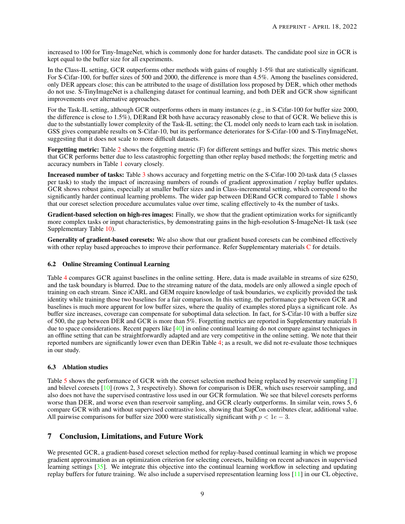<span id="page-8-0"></span>increased to 100 for Tiny-ImageNet, which is commonly done for harder datasets. The candidate pool size in GCR is kept equal to the buffer size for all experiments.

In the Class-IL setting, GCR outperforms other methods with gains of roughly 1-5% that are statistically significant. For S-Cifar-100, for buffer sizes of 500 and 2000, the difference is more than 4.5%. Among the baselines considered, only DER appears close; this can be attributed to the usage of distillation loss proposed by DER, which other methods do not use. S-TinyImageNet is a challenging dataset for continual learning, and both DER and GCR show significant improvements over alternative approaches.

For the Task-IL setting, although GCR outperforms others in many instances (e.g., in S-Cifar-100 for buffer size 2000, the difference is close to 1.5%), DERand ER both have accuracy reasonably close to that of GCR. We believe this is due to the substantially lower complexity of the Task-IL setting; the CL model only needs to learn each task in isolation. GSS gives comparable results on S-Cifar-10, but its performance deteriorates for S-Cifar-100 and S-TinyImageNet, suggesting that it does not scale to more difficult datasets.

Forgetting metric: Table [2](#page-6-1) shows the forgetting metric (F) for different settings and buffer sizes. This metric shows that GCR performs better due to less catastrophic forgetting than other replay based methods; the forgetting metric and accuracy numbers in Table [1](#page-6-0) covary closely.

Increased number of tasks: Table [3](#page-7-0) shows accuracy and forgetting metric on the S-Cifar-100 20-task data (5 classes per task) to study the impact of increasing numbers of rounds of gradient approximation / replay buffer updates. GCR shows robust gains, especially at smaller buffer sizes and in Class-incremental setting, which correspond to the significantly harder continual learning problems. The wider gap between DERand GCR compared to Table [1](#page-6-0) shows that our coreset selection procedure accumulates value over time, scaling effectively to 4x the number of tasks.

Gradient-based selection on high-res images: Finally, we show that the gradient optimization works for significantly more complex tasks or input characteristics, by demonstrating gains in the high-resolution S-ImageNet-1k task (see Supplementary Table [10\)](#page-13-2).

Generality of gradient-based coresets: We also show that our gradient based coresets can be combined effectively with other replay based approaches to improve their performance. Refer Supplementary materials [C](#page-13-1) for details.

#### <span id="page-8-1"></span>6.2 Online Streaming Continual Learning

Table [4](#page-7-1) compares GCR against baselines in the online setting. Here, data is made available in streams of size 6250, and the task boundary is blurred. Due to the streaming nature of the data, models are only allowed a single epoch of training on each stream. Since iCARL and GEM require knowledge of task boundaries, we explicitly provided the task identity while training those two baselines for a fair comparison. In this setting, the performance gap between GCR and baselines is much more apparent for low buffer sizes, where the quality of examples stored plays a significant role. As buffer size increases, coverage can compensate for suboptimal data selection. In fact, for S-Cifar-10 with a buffer size of 500, the gap between DER and GCR is more than 5%. Forgetting metrics are reported in Supplementary materials [B](#page-12-2) due to space considerations. Recent papers like [\[40\]](#page-11-7) in online continual learning do not compare against techniques in an offline setting that can be straightforwardly adapted and are very competitive in the online setting. We note that their reported numbers are significantly lower even than DERin Table [4;](#page-7-1) as a result, we did not re-evaluate those techniques in our study.

#### 6.3 Ablation studies

Table [5](#page-7-2) shows the performance of GCR with the coreset selection method being replaced by reservoir sampling [\[7\]](#page-9-6) and bilevel coresets [\[10\]](#page-9-9) (rows 2, 3 respectively). Shown for comparison is DER, which uses reservoir sampling, and also does not have the supervised contrastive loss used in our GCR formulation. We see that bilevel coresets performs worse than DER, and worse even than reservoir sampling, and GCR clearly outperforms. In similar vein, rows 5, 6 compare GCR with and without supervised contrastive loss, showing that SupCon contributes clear, additional value. All pairwise comparisons for buffer size 2000 were statistically significant with  $p < 1e - 3$ .

# 7 Conclusion, Limitations, and Future Work

We presented GCR, a gradient-based coreset selection method for replay-based continual learning in which we propose gradient approximation as an optimization criterion for selecting coresets, building on recent advances in supervised learning settings [\[35\]](#page-11-2). We integrate this objective into the continual learning workflow in selecting and updating replay buffers for future training. We also include a supervised representation learning loss [\[11\]](#page-9-10) in our CL objective,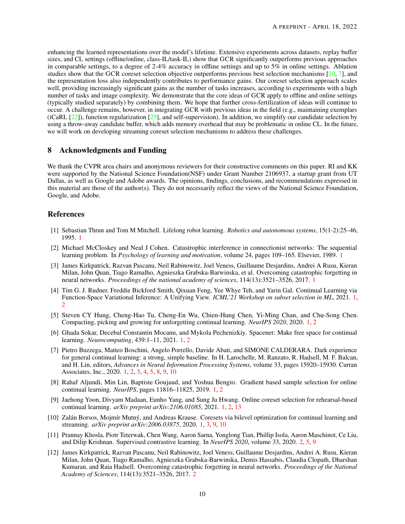<span id="page-9-12"></span>enhancing the learned representations over the model's lifetime. Extensive experiments across datasets, replay buffer sizes, and CL settings (offline/online, class-IL/task-IL) show that GCR significantly outperforms previous approaches in comparable settings, to a degree of 2-4% accuracy in offline settings and up to 5% in online settings. Ablation studies show that the GCR coreset selection objective outperforms previous best selection mechanisms [\[10,](#page-9-9) [7\]](#page-9-6), and the representation loss also independently contributes to performance gains. Our coreset selection approach scales well, providing increasingly significant gains as the number of tasks increases, according to experiments with a high number of tasks and image complexity. We demonstrate that the core ideas of GCR apply to offline and online settings (typically studied separately) by combining them. We hope that further cross-fertilization of ideas will continue to occur. A challenge remains, however, in integrating GCR with previous ideas in the field (e.g., maintaining exemplars (iCaRL  $[22]$ ), function regularization  $[25]$ , and self-supervision). In addition, we simplify our candidate selection by using a throw-away candidate buffer, which adds memory overhead that may be problematic in online CL. In the future, we will work on developing streaming coreset selection mechanisms to address these challenges.

# 8 Acknowledgments and Funding

We thank the CVPR area chairs and anonymous reviewers for their constructive comments on this paper. RI and KK were supported by the National Science Foundation(NSF) under Grant Number 2106937, a startup grant from UT Dallas, as well as Google and Adobe awards. The opinions, findings, conclusions, and recommendations expressed in this material are those of the author(s). They do not necessarily reflect the views of the National Science Foundation, Google, and Adobe.

## References

- <span id="page-9-0"></span>[1] Sebastian Thrun and Tom M Mitchell. Lifelong robot learning. *Robotics and autonomous systems*, 15(1-2):25–46, 1995. [1](#page-0-1)
- <span id="page-9-1"></span>[2] Michael McCloskey and Neal J Cohen. Catastrophic interference in connectionist networks: The sequential learning problem. In *Psychology of learning and motivation*, volume 24, pages 109–165. Elsevier, 1989. [1](#page-0-1)
- <span id="page-9-2"></span>[3] James Kirkpatrick, Razvan Pascanu, Neil Rabinowitz, Joel Veness, Guillaume Desjardins, Andrei A Rusu, Kieran Milan, John Quan, Tiago Ramalho, Agnieszka Grabska-Barwinska, et al. Overcoming catastrophic forgetting in neural networks. *Proceedings of the national academy of sciences*, 114(13):3521–3526, 2017. [1](#page-0-1)
- <span id="page-9-3"></span>[4] Tim G. J. Rudner, Freddie Bickford Smith, Qixuan Feng, Yee Whye Teh, and Yarin Gal. Continual Learning via Function-Space Variational Inference: A Unifying View. *ICML'21 Workshop on subset selection in ML*, 2021. [1,](#page-0-1) [2](#page-1-1)
- <span id="page-9-4"></span>[5] Steven CY Hung, Cheng-Hao Tu, Cheng-En Wu, Chien-Hung Chen, Yi-Ming Chan, and Chu-Song Chen. Compacting, picking and growing for unforgetting continual learning. *NeurIPS 2020*, 2020. [1,](#page-0-1) [2](#page-1-1)
- <span id="page-9-5"></span>[6] Ghada Sokar, Decebal Constantin Mocanu, and Mykola Pechenizkiy. Spacenet: Make free space for continual learning. *Neurocomputing*, 439:1–11, 2021. [1,](#page-0-1) [2](#page-1-1)
- <span id="page-9-6"></span>[7] Pietro Buzzega, Matteo Boschini, Angelo Porrello, Davide Abati, and SIMONE CALDERARA. Dark experience for general continual learning: a strong, simple baseline. In H. Larochelle, M. Ranzato, R. Hadsell, M. F. Balcan, and H. Lin, editors, *Advances in Neural Information Processing Systems*, volume 33, pages 15920–15930. Curran Associates, Inc., 2020. [1,](#page-0-1) [2,](#page-1-1) [3,](#page-2-2) [4,](#page-3-2) [5,](#page-4-1) [8,](#page-7-3) [9,](#page-8-0) [10](#page-9-12)
- <span id="page-9-7"></span>[8] Rahaf Aljundi, Min Lin, Baptiste Goujaud, and Yoshua Bengio. Gradient based sample selection for online continual learning. *NeurIPS*, pages 11816–11825, 2019. [1,](#page-0-1) [2](#page-1-1)
- <span id="page-9-8"></span>[9] Jaehong Yoon, Divyam Madaan, Eunho Yang, and Sung Ju Hwang. Online coreset selection for rehearsal-based continual learning. *arXiv preprint arXiv:2106.01085*, 2021. [1,](#page-0-1) [2,](#page-1-1) [13](#page-12-3)
- <span id="page-9-9"></span>[10] Zalán Borsos, Mojmír Mutný, and Andreas Krause. Coresets via bilevel optimization for continual learning and streaming. *arXiv preprint arXiv:2006.03875*, 2020. [1,](#page-0-1) [3,](#page-2-2) [9,](#page-8-0) [10](#page-9-12)
- <span id="page-9-10"></span>[11] Prannay Khosla, Piotr Teterwak, Chen Wang, Aaron Sarna, Yonglong Tian, Phillip Isola, Aaron Maschinot, Ce Liu, and Dilip Krishnan. Supervised contrastive learning. In *NeurIPS 2020*, volume 33, 2020. [2,](#page-1-1) [5,](#page-4-1) [9](#page-8-0)
- <span id="page-9-11"></span>[12] James Kirkpatrick, Razvan Pascanu, Neil Rabinowitz, Joel Veness, Guillaume Desjardins, Andrei A. Rusu, Kieran Milan, John Quan, Tiago Ramalho, Agnieszka Grabska-Barwinska, Demis Hassabis, Claudia Clopath, Dharshan Kumaran, and Raia Hadsell. Overcoming catastrophic forgetting in neural networks. *Proceedings of the National Academy of Sciences*, 114(13):3521–3526, 2017. [2](#page-1-1)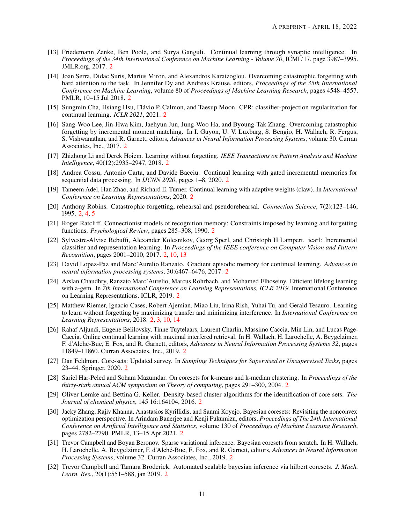- <span id="page-10-0"></span>[13] Friedemann Zenke, Ben Poole, and Surya Ganguli. Continual learning through synaptic intelligence. In *Proceedings of the 34th International Conference on Machine Learning - Volume 70*, ICML'17, page 3987–3995. JMLR.org, 2017. [2](#page-1-1)
- <span id="page-10-1"></span>[14] Joan Serra, Didac Suris, Marius Miron, and Alexandros Karatzoglou. Overcoming catastrophic forgetting with hard attention to the task. In Jennifer Dy and Andreas Krause, editors, *Proceedings of the 35th International Conference on Machine Learning*, volume 80 of *Proceedings of Machine Learning Research*, pages 4548–4557. PMLR, 10–15 Jul 2018. [2](#page-1-1)
- <span id="page-10-2"></span>[15] Sungmin Cha, Hsiang Hsu, Flávio P. Calmon, and Taesup Moon. CPR: classifier-projection regularization for continual learning. *ICLR 2021*, 2021. [2](#page-1-1)
- <span id="page-10-3"></span>[16] Sang-Woo Lee, Jin-Hwa Kim, Jaehyun Jun, Jung-Woo Ha, and Byoung-Tak Zhang. Overcoming catastrophic forgetting by incremental moment matching. In I. Guyon, U. V. Luxburg, S. Bengio, H. Wallach, R. Fergus, S. Vishwanathan, and R. Garnett, editors, *Advances in Neural Information Processing Systems*, volume 30. Curran Associates, Inc., 2017. [2](#page-1-1)
- <span id="page-10-4"></span>[17] Zhizhong Li and Derek Hoiem. Learning without forgetting. *IEEE Transactions on Pattern Analysis and Machine Intelligence*, 40(12):2935–2947, 2018. [2](#page-1-1)
- <span id="page-10-5"></span>[18] Andrea Cossu, Antonio Carta, and Davide Bacciu. Continual learning with gated incremental memories for sequential data processing. In *IJCNN 2020*, pages 1–8, 2020. [2](#page-1-1)
- <span id="page-10-6"></span>[19] Tameem Adel, Han Zhao, and Richard E. Turner. Continual learning with adaptive weights (claw). In *International Conference on Learning Representations*, 2020. [2](#page-1-1)
- <span id="page-10-7"></span>[20] Anthony Robins. Catastrophic forgetting, rehearsal and pseudorehearsal. *Connection Science*, 7(2):123–146, 1995. [2,](#page-1-1) [4,](#page-3-2) [5](#page-4-1)
- <span id="page-10-8"></span>[21] Roger Ratcliff. Connectionist models of recognition memory: Constraints imposed by learning and forgetting functions. *Psychological Review*, pages 285–308, 1990. [2](#page-1-1)
- <span id="page-10-9"></span>[22] Sylvestre-Alvise Rebuffi, Alexander Kolesnikov, Georg Sperl, and Christoph H Lampert. icarl: Incremental classifier and representation learning. In *Proceedings of the IEEE conference on Computer Vision and Pattern Recognition*, pages 2001–2010, 2017. [2,](#page-1-1) [10,](#page-9-12) [13](#page-12-3)
- <span id="page-10-10"></span>[23] David Lopez-Paz and Marc'Aurelio Ranzato. Gradient episodic memory for continual learning. *Advances in neural information processing systems*, 30:6467–6476, 2017. [2](#page-1-1)
- <span id="page-10-11"></span>[24] Arslan Chaudhry, Ranzato Marc'Aurelio, Marcus Rohrbach, and Mohamed Elhoseiny. Efficient lifelong learning with a-gem. In *7th International Conference on Learning Representations, ICLR 2019*. International Conference on Learning Representations, ICLR, 2019. [2](#page-1-1)
- <span id="page-10-12"></span>[25] Matthew Riemer, Ignacio Cases, Robert Ajemian, Miao Liu, Irina Rish, Yuhai Tu, and Gerald Tesauro. Learning to learn without forgetting by maximizing transfer and minimizing interference. In *International Conference on Learning Representations*, 2018. [2,](#page-1-1) [3,](#page-2-2) [10,](#page-9-12) [14](#page-13-3)
- <span id="page-10-13"></span>[26] Rahaf Aljundi, Eugene Belilovsky, Tinne Tuytelaars, Laurent Charlin, Massimo Caccia, Min Lin, and Lucas Page-Caccia. Online continual learning with maximal interfered retrieval. In H. Wallach, H. Larochelle, A. Beygelzimer, F. d'Alché-Buc, E. Fox, and R. Garnett, editors, *Advances in Neural Information Processing Systems 32*, pages 11849–11860. Curran Associates, Inc., 2019. [2](#page-1-1)
- <span id="page-10-14"></span>[27] Dan Feldman. Core-sets: Updated survey. In *Sampling Techniques for Supervised or Unsupervised Tasks*, pages 23–44. Springer, 2020. [2](#page-1-1)
- <span id="page-10-15"></span>[28] Sariel Har-Peled and Soham Mazumdar. On coresets for k-means and k-median clustering. In *Proceedings of the thirty-sixth annual ACM symposium on Theory of computing*, pages 291–300, 2004. [2](#page-1-1)
- <span id="page-10-16"></span>[29] Oliver Lemke and Bettina G. Keller. Density-based cluster algorithms for the identification of core sets. *The Journal of chemical physics*, 145 16:164104, 2016. [2](#page-1-1)
- <span id="page-10-17"></span>[30] Jacky Zhang, Rajiv Khanna, Anastasios Kyrillidis, and Sanmi Koyejo. Bayesian coresets: Revisiting the nonconvex optimization perspective. In Arindam Banerjee and Kenji Fukumizu, editors, *Proceedings of The 24th International Conference on Artificial Intelligence and Statistics*, volume 130 of *Proceedings of Machine Learning Research*, pages 2782–2790. PMLR, 13–15 Apr 2021. [2](#page-1-1)
- <span id="page-10-18"></span>[31] Trevor Campbell and Boyan Beronov. Sparse variational inference: Bayesian coresets from scratch. In H. Wallach, H. Larochelle, A. Beygelzimer, F. d'Alché-Buc, E. Fox, and R. Garnett, editors, *Advances in Neural Information Processing Systems*, volume 32. Curran Associates, Inc., 2019. [2](#page-1-1)
- <span id="page-10-19"></span>[32] Trevor Campbell and Tamara Broderick. Automated scalable bayesian inference via hilbert coresets. *J. Mach. Learn. Res.*, 20(1):551–588, jan 2019. [2](#page-1-1)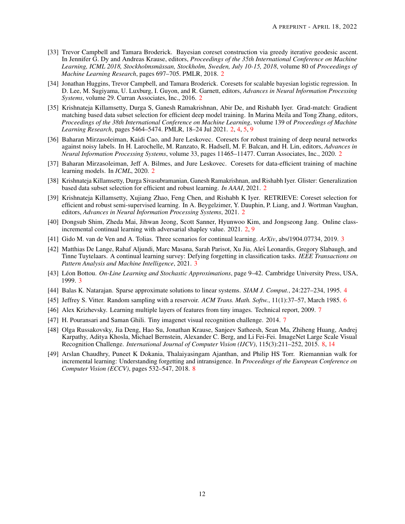- <span id="page-11-0"></span>[33] Trevor Campbell and Tamara Broderick. Bayesian coreset construction via greedy iterative geodesic ascent. In Jennifer G. Dy and Andreas Krause, editors, *Proceedings of the 35th International Conference on Machine Learning, ICML 2018, Stockholmsmässan, Stockholm, Sweden, July 10-15, 2018*, volume 80 of *Proceedings of Machine Learning Research*, pages 697–705. PMLR, 2018. [2](#page-1-1)
- <span id="page-11-1"></span>[34] Jonathan Huggins, Trevor Campbell, and Tamara Broderick. Coresets for scalable bayesian logistic regression. In D. Lee, M. Sugiyama, U. Luxburg, I. Guyon, and R. Garnett, editors, *Advances in Neural Information Processing Systems*, volume 29. Curran Associates, Inc., 2016. [2](#page-1-1)
- <span id="page-11-2"></span>[35] Krishnateja Killamsetty, Durga S, Ganesh Ramakrishnan, Abir De, and Rishabh Iyer. Grad-match: Gradient matching based data subset selection for efficient deep model training. In Marina Meila and Tong Zhang, editors, *Proceedings of the 38th International Conference on Machine Learning*, volume 139 of *Proceedings of Machine Learning Research*, pages 5464–5474. PMLR, 18–24 Jul 2021. [2,](#page-1-1) [4,](#page-3-2) [5,](#page-4-1) [9](#page-8-0)
- <span id="page-11-3"></span>[36] Baharan Mirzasoleiman, Kaidi Cao, and Jure Leskovec. Coresets for robust training of deep neural networks against noisy labels. In H. Larochelle, M. Ranzato, R. Hadsell, M. F. Balcan, and H. Lin, editors, *Advances in Neural Information Processing Systems*, volume 33, pages 11465–11477. Curran Associates, Inc., 2020. [2](#page-1-1)
- <span id="page-11-4"></span>[37] Baharan Mirzasoleiman, Jeff A. Bilmes, and Jure Leskovec. Coresets for data-efficient training of machine learning models. In *ICML*, 2020. [2](#page-1-1)
- <span id="page-11-5"></span>[38] Krishnateja Killamsetty, Durga Sivasubramanian, Ganesh Ramakrishnan, and Rishabh Iyer. Glister: Generalization based data subset selection for efficient and robust learning. *In AAAI*, 2021. [2](#page-1-1)
- <span id="page-11-6"></span>[39] Krishnateja Killamsetty, Xujiang Zhao, Feng Chen, and Rishabh K Iyer. RETRIEVE: Coreset selection for efficient and robust semi-supervised learning. In A. Beygelzimer, Y. Dauphin, P. Liang, and J. Wortman Vaughan, editors, *Advances in Neural Information Processing Systems*, 2021. [2](#page-1-1)
- <span id="page-11-7"></span>[40] Dongsub Shim, Zheda Mai, Jihwan Jeong, Scott Sanner, Hyunwoo Kim, and Jongseong Jang. Online classincremental continual learning with adversarial shapley value. 2021. [2,](#page-1-1) [9](#page-8-0)
- <span id="page-11-10"></span>[41] Gido M. van de Ven and A. Tolias. Three scenarios for continual learning. *ArXiv*, abs/1904.07734, 2019. [3](#page-2-2)
- <span id="page-11-8"></span>[42] Matthias De Lange, Rahaf Aljundi, Marc Masana, Sarah Parisot, Xu Jia, Ales Leonardis, Gregory Slabaugh, and Tinne Tuytelaars. A continual learning survey: Defying forgetting in classification tasks. *IEEE Transactions on Pattern Analysis and Machine Intelligence*, 2021. [3](#page-2-2)
- <span id="page-11-9"></span>[43] Léon Bottou. *On-Line Learning and Stochastic Approximations*, page 9–42. Cambridge University Press, USA, 1999. [3](#page-2-2)
- <span id="page-11-11"></span>[44] Balas K. Natarajan. Sparse approximate solutions to linear systems. *SIAM J. Comput.*, 24:227–234, 1995. [4](#page-3-2)
- <span id="page-11-12"></span>[45] Jeffrey S. Vitter. Random sampling with a reservoir. *ACM Trans. Math. Softw.*, 11(1):37–57, March 1985. [6](#page-5-2)
- <span id="page-11-13"></span>[46] Alex Krizhevsky. Learning multiple layers of features from tiny images. Technical report, 2009. [7](#page-6-2)
- <span id="page-11-14"></span>[4[7](#page-6-2)] H. Pouransari and Saman Ghili. Tiny imagenet visual recognition challenge. 2014. 7
- <span id="page-11-15"></span>[48] Olga Russakovsky, Jia Deng, Hao Su, Jonathan Krause, Sanjeev Satheesh, Sean Ma, Zhiheng Huang, Andrej Karpathy, Aditya Khosla, Michael Bernstein, Alexander C. Berg, and Li Fei-Fei. ImageNet Large Scale Visual Recognition Challenge. *International Journal of Computer Vision (IJCV)*, 115(3):211–252, 2015. [8,](#page-7-3) [14](#page-13-3)
- <span id="page-11-16"></span>[49] Arslan Chaudhry, Puneet K Dokania, Thalaiyasingam Ajanthan, and Philip HS Torr. Riemannian walk for incremental learning: Understanding forgetting and intransigence. In *Proceedings of the European Conference on Computer Vision (ECCV)*, pages 532–547, 2018. [8](#page-7-3)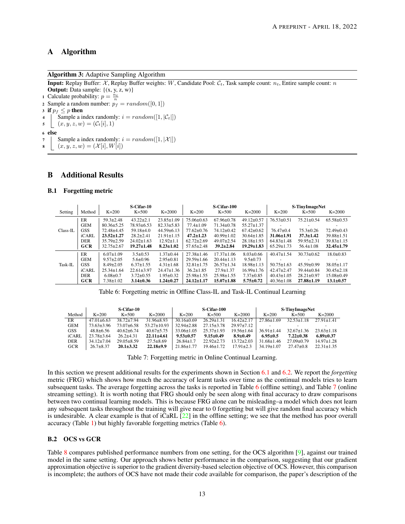# <span id="page-12-3"></span><span id="page-12-1"></span>A Algorithm

Algorithm 3: Adaptive Sampling Algorithm

**Input:** Replay Buffer:  $X$ , Replay Buffer weights: W, Candidate Pool:  $C_t$ , Task sample count:  $n_t$ , Entire sample count: n **Output:** Data sample:  $\{(x, y, z, w)\}$ 1 Calculate probability:  $p = \frac{n_t}{n}$ 2 Sample a random number:  $p_f = random([0, 1])$ 3 if  $p_f \leq p$  then 4 | Sample a index randomly:  $i = random([1, |\mathcal{C}_t|])$ 5  $(x, y, z, w) = (\mathcal{C}_t[i], 1)$ <sup>6</sup> else

```
7 | Sample a index randomly: i = random([1, |\mathcal{X}|])8 (x, y, z, w) = (X[i], W[i])
```
# <span id="page-12-2"></span>B Additional Results

#### B.1 Forgetting metric

|            |            |                  | S-Cifar-10       |                  |                  | S-Cifar-100      |                  |                  | S-TinyImageNet           |                  |
|------------|------------|------------------|------------------|------------------|------------------|------------------|------------------|------------------|--------------------------|------------------|
| Setting    | Method     | $K=200$          | $K=500$          | $K = 2000$       | $K=200$          | $K=500$          | $K = 2000$       | $K=200$          | $K=500$                  | $K = 2000$       |
|            | ER         | $59.3 \pm 2.48$  | $43.22 \pm 2.1$  | $23.85 \pm 1.09$ | $75.06 \pm 0.63$ | $67.96 \pm 0.78$ | $49.12 \pm 0.57$ | $76.53 \pm 0.51$ | $75.21 \pm 0.54$         | $65.58 \pm 0.53$ |
|            | <b>GEM</b> | $80.36 \pm 5.25$ | 78.93±6.53       | $82.33 \pm 5.83$ | $77.4 \pm 1.09$  | $71.34 \pm 0.78$ | $55.27 \pm 1.37$ |                  | $\overline{\phantom{a}}$ |                  |
| $Class-IL$ | <b>GSS</b> | 72.48±4.45       | $59.18{\pm}4.0$  | $44.59 \pm 6.13$ | $77.62 \pm 0.76$ | $74.12 \pm 0.42$ | $67.42 \pm 0.62$ | $76.47 \pm 0.4$  | $75.3 \pm 0.26$          | $72.49 \pm 0.43$ |
|            | iCARL      | $23.52 \pm 1.27$ | $28.2 + 2.41$    | $21.91 \pm 1.15$ | $47.2 \pm 1.23$  | $40.99 \pm 1.02$ | $30.64 \pm 1.85$ | $31.06 \pm 1.91$ | $37.3 \pm 1.42$          | $39.88 \pm 1.51$ |
|            | <b>DER</b> | $35.79 \pm 2.59$ | $24.02 \pm 1.63$ | $12.92 \pm 1.1$  | $62.72 \pm 2.69$ | $49.07 \pm 2.54$ | $28.18 \pm 1.93$ | $64.83 \pm 1.48$ | $59.95 \pm 2.31$         | $39.83 \pm 1.15$ |
|            | <b>GCR</b> | $32.75 \pm 2.67$ | $19.27 \pm 1.48$ | $8.23 \pm 1.02$  | $57.65 \pm 2.48$ | $39.2 \pm 2.84$  | $19.29 \pm 1.83$ | $65.29 \pm 1.73$ | $56.4 \pm 1.08$          | $32.45 \pm 1.79$ |
|            | ER         | $6.07 \pm 1.09$  | $3.5 \pm 0.53$   | $1.37+0.44$      | $27.38 \pm 1.46$ | $17.37 \pm 1.06$ | $8.03 \pm 0.66$  | $40.47 \pm 1.54$ | $30.73 \pm 0.62$         | $18.0 \pm 0.83$  |
|            | <b>GEM</b> | $9.57 \pm 2.05$  | $5.6 \pm 0.96$   | $2.95 \pm 0.81$  | $29.59 \pm 1.66$ | $20.44 \pm 1.13$ | $9.5 \pm 0.73$   |                  |                          |                  |
| Task-IL    | <b>GSS</b> | $8.49 \pm 2.05$  | $6.37 \pm 1.55$  | $4.31 \pm 1.68$  | $32.81 \pm 1.75$ | $26.57 \pm 1.34$ | $18.98 \pm 1.13$ | $50.75 \pm 1.63$ | $45.59 \pm 0.99$         | $38.05 \pm 1.17$ |
|            | iCARL      | $25.34 \pm 1.64$ | $22.61 \pm 3.97$ | $24.47 \pm 1.36$ | $36.2 \pm 1.85$  | $27.9 \pm 1.37$  | $16.99 \pm 1.76$ | $42.47 \pm 2.47$ | $39.44 \pm 0.84$         | $30.45 \pm 2.18$ |
|            | <b>DER</b> | $6.08 \pm 0.7$   | $3.72 \pm 0.55$  | $1.95 \pm 0.32$  | $25.98 \pm 1.55$ | $25.98 \pm 1.55$ | $7.37 \pm 0.85$  | $40.43 \pm 1.05$ | $28.21 \pm 0.97$         | $15.08 \pm 0.49$ |
|            | GCR        | $7.38 \pm 1.02$  | $3.14 \pm 0.36$  | $1.24 \pm 0.27$  | $24.12 \pm 1.17$ | $15.07 \pm 1.88$ | $5.75 \pm 0.72$  | $40.36 \pm 1.08$ | $27.88 \pm 1.19$         | $13.1 \pm 0.57$  |

<span id="page-12-4"></span>Table 6: Forgetting metric in Offline Class-IL and Task-IL Continual Learning

|            | S-Cifar-10       |                  |                   | S-Cifar-100      |                  |                  | <b>S-TinyImageNet</b> |                  |                  |
|------------|------------------|------------------|-------------------|------------------|------------------|------------------|-----------------------|------------------|------------------|
| Method     | $K=200$          | $K = 500$        | $K = 2000$        | $K=200$          | $K = 500$        | $K = 2000$       | $K=200$               | $K = 500$        | $K = 2000$       |
| ER         | $47.01 \pm 6.63$ | $38.72 \pm 7.94$ | $31.96 \pm 8.93$  | $30.16 \pm 0.69$ | $26.29 \pm 1.31$ | $16.42 \pm 2.17$ | $27.86 \pm 1.69$      | $32.53 \pm 1.18$ | $27.91 \pm 1.41$ |
| <b>GEM</b> | $73.63 + 3.96$   | $73.07 + 6.58$   | $53.27 \pm 10.93$ | $32.94 \pm 2.88$ | $27.15 \pm 3.78$ | $29.97 + 7.12$   |                       |                  |                  |
| GSS        | $48.8 \pm 6.56$  | $40.62 + 6.74$   | $40.67 \pm 5.75$  | $33.06 \pm 1.05$ | $25.37 \pm 1.93$ | $19.56 \pm 1.64$ | $36.91 \pm 1.44$      | $32.67 \pm 1.36$ | $23.63 \pm 1.18$ |
| iCARL      | $23.78 \pm 3.64$ | $26.2 \pm 4.31$  | $22.11 \pm 4.61$  | $9.53 \pm 0.57$  | $9.15 \pm 0.49$  | $8.9 \pm 0.49$   | $6.95 \pm 0.5$        | $7.22 \pm 0.38$  | $6.89 \pm 0.37$  |
| <b>DER</b> | $34.12 \pm 7.04$ | $29.05 \pm 8.59$ | $27.5 \pm 8.69$   | $26.84 \pm 1.7$  | $22.92+2.73$     | $13.72 \pm 2.03$ | $31.68 \pm 1.46$      | $27.09 \pm 0.79$ | $14.97 \pm 1.28$ |
| GCR        | $26.7 \pm 8.37$  | $20.1 \pm 3.32$  | $22.18 \pm 9.9$   | $21.86 \pm 1.77$ | $19.46 \pm 1.72$ | $17.91 \pm 2.3$  | $34.19 \pm 1.07$      | $27.47\pm0.8$    | $22.31 \pm 1.35$ |

<span id="page-12-5"></span>Table 7: Forgetting metric in Online Continual Learning.

In this section we present additional results for the experiments shown in Section [6.1](#page-7-4) and [6.2.](#page-8-1) We report the *forgetting* metric (FRG) which shows how much the accuracy of learnt tasks over time as the continual models tries to learn subsequent tasks. The average forgetting across the tasks is reported in Table [6](#page-12-4) (offline setting), and Table [7](#page-12-5) (online streaming setting). It is worth noting that FRG should only be seen along with final accuracy to draw comparisons between two continual learning models. This is because FRG alone can be misleading–a model which does not learn any subsequent tasks throughout the training will give near to 0 forgetting but will give random final accuracy which is undesirable. A clear example is that of iCaRL [\[22\]](#page-10-9) in the offline setting; we see that the method has poor overall accuracy (Table [1\)](#page-6-0) but highly favorable forgetting metrics (Table [6\)](#page-12-4).

#### B.2 OCS vs GCR

Table [8](#page-13-4) compares published performance numbers from one setting, for the OCS algorithm [\[9\]](#page-9-8), against our trained model in the same setting. Our approach shows better performance in the comparison, suggesting that our gradient approximation objective is superior to the gradient diversity-based selection objective of OCS. However, this comparison is incomplete; the authors of OCS have not made their code available for comparison, the paper's description of the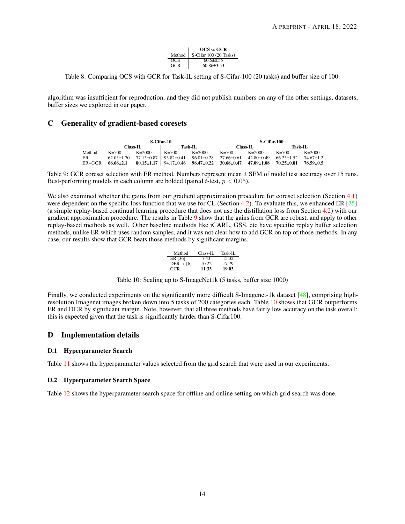|            | <b>OCS</b> vs GCR      |
|------------|------------------------|
| Method     | S-Cifar 100 (20 Tasks) |
| OCS        | $60.5 + 0.55$          |
| <b>GCR</b> | $60.86 \pm 3.53$       |

<span id="page-13-4"></span><span id="page-13-3"></span>Table 8: Comparing OCS with GCR for Task-IL setting of S-Cifar-100 (20 tasks) and buffer size of 100.

algorithm was insufficient for reproduction, and they did not publish numbers on any of the other settings, datasets, buffer sizes we explored in our paper.

# <span id="page-13-1"></span>C Generality of gradient-based coresets

|          |                  | S-Cifar-10       |                  | S-Cifar-100      |                  |                  |            |                 |
|----------|------------------|------------------|------------------|------------------|------------------|------------------|------------|-----------------|
|          |                  | Class-IL.        |                  | Task-IL          |                  | Class-IL         | Task-IL    |                 |
| Method   | $K = 500$        | $K = 2000$       | $K = 500$        | $K = 2000$       | $K = 500$        | $K = 2000$       | $K = 500$  | $K = 2000$      |
| ER       | $62.03 \pm 1.70$ | $77.13 \pm 0.87$ | $93.82 \pm 0.41$ | $96.01 \pm 0.28$ | $27.66 \pm 0.61$ | $42.80 \pm 0.49$ | $6623+152$ | $7467+12$       |
| $ER+GCR$ | $66.66 \pm 2.1$  | $80.15 \pm 1.17$ | 94.17±0.46       | $96.47 \pm 0.22$ | 30.68±0.47       | $47.09 \pm 1.08$ | 70.25±0.81 | $78.59 \pm 0.5$ |

<span id="page-13-0"></span>Table 9: GCR coreset selection with ER method. Numbers represent mean  $\pm$  SEM of model test accuracy over 15 runs. Best-performing models in each column are bolded (paired t-test,  $p < 0.05$ ).

We also examined whether the gains from our gradient approximation procedure for coreset selection (Section [4.1\)](#page-3-3) were dependent on the specific loss function that we use for CL (Section [4.2\)](#page-4-2). To evaluate this, we enhanced ER [\[25\]](#page-10-12) (a simple replay-based continual learning procedure that does not use the distillation loss from Section [4.2\)](#page-4-2) with our gradient approximation procedure. The results in Table [9](#page-13-0) show that the gains from GCR are robust, and apply to other replay-based methods as well. Other baseline methods like iCARL, GSS, etc have specific replay buffer selection methods, unlike ER which uses random samples, and it was not clear how to add GCR on top of those methods. In any case, our results show that GCR beats those methods by significant margins.

| Method     | Class-IL | Task-IL |
|------------|----------|---------|
| ER [36]    | 7.43     | 15.32   |
| $DER++[6]$ | 10.22    | 17.79   |
| GCR        | 11.33    | 19.03   |

<span id="page-13-2"></span>Table 10: Scaling up to S-ImageNet1k (5 tasks, buffer size 1000)

Finally, we conducted experiments on the significantly more difficult S-Imagenet-1k dataset [\[48\]](#page-11-15), comprising highresolution Imagenet images broken down into 5 tasks of 200 categories each. Table [10](#page-13-2) shows that GCR outperforms ER and DER by significant margin. Note, however, that all three methods have fairly low accuracy on the task overall; this is expected given that the task is significantly harder than S-Cifar100.

# D Implementation details

#### D.1 Hyperparameter Search

Table [11](#page-14-0) shows the hyperparameter values selected from the grid search that were used in our experiments.

#### D.2 Hyperparameter Search Space

Table [12](#page-15-0) shows the hyperparameter search space for offline and online setting on which grid search was done.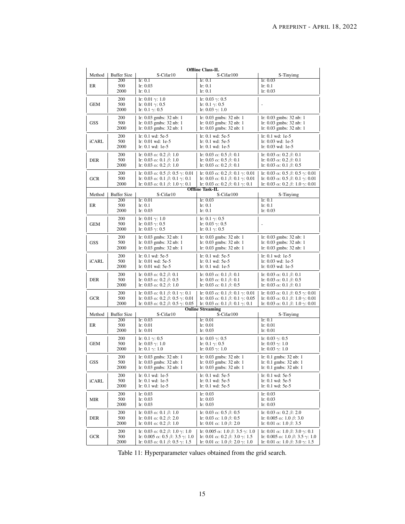|            |                    |                                                                                                               | <b>Offline Class-IL</b>                                                                                      |                                                                                                               |
|------------|--------------------|---------------------------------------------------------------------------------------------------------------|--------------------------------------------------------------------------------------------------------------|---------------------------------------------------------------------------------------------------------------|
| Method     | <b>Buffer Size</b> | S-Cifar10                                                                                                     | S-Cifar100                                                                                                   | S-Tinyimg                                                                                                     |
| ER         | 200<br>500         | lr: 0.1<br>lr: 0.03                                                                                           | lr: 0.1<br>lr: 0.1                                                                                           | lr: 0.03<br>lr: 0.1                                                                                           |
|            | 2000               | lr: 0.1                                                                                                       | lr: 0.1                                                                                                      | lr: 0.03                                                                                                      |
|            | 200                | Ir: 0.01 $\gamma$ : 1.0                                                                                       | Ir: $0.03 \gamma$ : 0.5                                                                                      |                                                                                                               |
| GEM        | 500                | Ir: 0.01 $\gamma$ : 0.5                                                                                       | Ir: 0.1 $\gamma$ : 0.5                                                                                       |                                                                                                               |
|            | 2000               | Ir: 0.1 $\gamma$ : 0.5                                                                                        | Ir: 0.03 $\gamma$ : 1.0                                                                                      |                                                                                                               |
|            | 200                | $lr: 0.03$ gmbs: $32$ nb: 1                                                                                   | $lr: 0.03$ gmbs: $32$ nb: 1                                                                                  | $lr: 0.03$ gmbs: $32$ nb: 1                                                                                   |
| GSS        | 500                | $lr: 0.03$ gmbs: 32 nb: 1                                                                                     | $lr: 0.03$ gmbs: $32$ nb: 1                                                                                  | $lr: 0.03$ gmbs: 32 nb: 1                                                                                     |
|            | 2000               | $lr: 0.03$ gmbs: 32 nb: 1                                                                                     | $lr: 0.03$ gmbs: $32$ nb: 1                                                                                  | $lr: 0.03$ gmbs: $32$ nb: 1                                                                                   |
| iCARL      | 200<br>500         | $lr: 0.1$ wd: $5e-5$<br>lr: 0.01 wd: 1e-5                                                                     | $lr: 0.1$ wd: $5e-5$<br>$lr: 0.1$ wd: $5e-5$                                                                 | lr: 0.1 wd: 1e-5<br>lr: 0.03 wd: 1e-5                                                                         |
|            | 2000               | $lr: 0.1$ wd: 1e-5                                                                                            | lr: 0.1 wd: 1e-5                                                                                             | $lr: 0.03$ wd: 1e-5                                                                                           |
|            | 200                | Ir: $0.03 \alpha$ : $0.2 \beta$ : 1.0                                                                         | Ir: $0.03 \alpha$ : $0.5 \beta$ : 0.1                                                                        | lr: 0.03 $\alpha$ : 0.2 $\beta$ : 0.1                                                                         |
| DER        | 500                | Ir: $0.03 \alpha$ : $0.1 \beta$ : 1.0                                                                         | Ir: $0.03 \alpha$ : $0.5 \beta$ : 0.1                                                                        | Ir: $0.03 \alpha$ : $0.2 \beta$ : $0.1$                                                                       |
|            | 2000               | Ir: $0.03 \alpha$ : $0.2 \beta$ : 1.0                                                                         | Ir: $0.03 \alpha$ : $0.2 \beta$ : 0.1                                                                        | lr: 0.03 $\alpha$ : 0.1 $\beta$ : 0.5                                                                         |
|            | 200                | Ir: 0.03 $\alpha$ : 0.5 $\beta$ : 0.5 $\gamma$ : 0.01                                                         | lr: 0.03 $\alpha$ : 0.2 $\beta$ : 0.1 $\gamma$ : 0.01                                                        | Ir: $0.03 \alpha$ : $0.5 \beta$ : $0.5 \gamma$ : $0.01$                                                       |
| GCR        | 500                | lr: 0.03 $\alpha$ : 0.1 β: 0.1 $\gamma$ : 0.1                                                                 | lr: 0.03 $\alpha$ : 0.1 β: 0.1 $\gamma$ : 0.01                                                               | Ir: 0.03 $\alpha$ : 0.5 $\beta$ : 0.1 $\gamma$ : 0.01                                                         |
|            | 2000               | Ir: 0.03 $\alpha$ : 0.1 $\beta$ : 1.0 $\gamma$ : 0.1                                                          | lr: 0.03 $\alpha$ : 0.2 β: 0.1 $\gamma$ : 0.1<br><b>Offline Task-IL</b>                                      | Ir: $0.03 \alpha$ : $0.2 \beta$ : $1.0 \gamma$ : $0.01$                                                       |
| Method     | <b>Buffer Size</b> | S-Cifar10                                                                                                     | S-Cifar100                                                                                                   | S-Tinyimg                                                                                                     |
|            | 200                | lr: 0.01                                                                                                      | lr: 0.03                                                                                                     | lr: 0.1                                                                                                       |
| ER         | 500<br>2000        | lr: 0.1<br>lr: 0.03                                                                                           | lr: 0.1<br>lr: 0.1                                                                                           | lr: 0.1<br>lr: 0.03                                                                                           |
|            |                    |                                                                                                               |                                                                                                              |                                                                                                               |
| GEM        | 200<br>500         | Ir: $0.01 \gamma$ : 1.0<br>Ir: 0.03 $\gamma$ : 0.5                                                            | Ir: 0.1 $\gamma$ : 0.5<br>Ir: 0.03 $\gamma$ : 0.5                                                            |                                                                                                               |
|            | 2000               | Ir: 0.03 $\gamma$ : 0.5                                                                                       | Ir: 0.1 $\gamma$ : 0.5                                                                                       |                                                                                                               |
|            | 200                | $lr: 0.03$ gmbs: $32$ nb: 1                                                                                   | $lr: 0.03$ gmbs: $32$ nb: 1                                                                                  | $lr: 0.03$ gmbs: $32$ nb: 1                                                                                   |
| <b>GSS</b> | 500                | $lr: 0.03$ gmbs: $32$ nb: 1                                                                                   | $lr: 0.03$ gmbs: $32$ nb: 1                                                                                  | $lr: 0.03$ gmbs: $32$ nb: 1                                                                                   |
|            | 2000               | $lr: 0.03$ gmbs: $32$ nb: 1                                                                                   | $lr: 0.03$ gmbs: $32$ nb: 1                                                                                  | lr: 0.03 gmbs: 32 nb: 1                                                                                       |
|            | 200                | $lr: 0.1$ wd: $5e-5$                                                                                          | $lr: 0.1$ wd: 5e-5                                                                                           | lr: 0.1 wd: 1e-5                                                                                              |
| iCARL      | 500<br>2000        | $lr: 0.01$ wd: $5e-5$<br>$lr: 0.01$ wd: 5e-5                                                                  | $lr: 0.1$ wd: $5e-5$<br>$lr: 0.1$ wd: 1e-5                                                                   | lr: 0.03 wd: 1e-5<br>$lr: 0.03$ wd: 1e-5                                                                      |
|            | 200                | Ir: $0.03 \alpha$ : $0.2 \beta$ : $0.1$                                                                       | Ir: $0.03 \alpha$ : $0.1 \beta$ : $0.1$                                                                      | Ir: $0.03 \alpha$ : $0.1 \beta$ : $0.1$                                                                       |
| <b>DER</b> | 500                | Ir: $0.03 \alpha$ : $0.2 \beta$ : $0.5$                                                                       | Ir: $0.03 \alpha$ : $0.1 \beta$ : $0.1$                                                                      | lr: 0.03 $\alpha$ : 0.1 $\beta$ : 0.5                                                                         |
|            | 2000               | Ir: $0.03 \alpha$ : $0.2 \beta$ : 1.0                                                                         | Ir: 0.03 $\alpha$ : 0.1 $\beta$ : 0.5                                                                        | Ir: $0.03 \alpha$ : $0.1 \beta$ : $0.1$                                                                       |
|            | 200                | Ir: 0.03 $\alpha$ : 0.1 β: 0.1 $\gamma$ : 0.1                                                                 | Ir: 0.03 $\alpha$ : 0.1 $\beta$ : 0.1 $\gamma$ : 0.01                                                        | Ir: 0.03 $\alpha$ : 0.1 $\beta$ : 0.5 $\gamma$ : 0.01                                                         |
| <b>GCR</b> | 500                | Ir: 0.03 $\alpha$ : 0.2 $\beta$ : 0.5 $\gamma$ : 0.01                                                         | Ir: 0.03 $\alpha$ : 0.1 $\beta$ : 0.1 $\gamma$ : 0.05                                                        | Ir: 0.03 $\alpha$ : 0.1 $\beta$ : 1.0 $\gamma$ : 0.01                                                         |
|            | 2000               | Ir: $0.03 \alpha$ : $0.2 \beta$ : $0.5 \gamma$ : $0.05$                                                       | lr: 0.03 $\alpha$ : 0.1 β: 0.1 $\gamma$ : 0.1<br><b>Online Streaming</b>                                     | Ir: 0.03 $\alpha$ : 0.1 $\beta$ : 1.0 $\gamma$ : 0.01                                                         |
| Method     | <b>Buffer Size</b> | S-Cifar10                                                                                                     | S-Cifar100                                                                                                   | S-Tinyimg                                                                                                     |
|            | 200                | lr: 0.03                                                                                                      | lr: 0.01                                                                                                     | lr: 0.1                                                                                                       |
| ER         | 500<br>2000        | lr: 0.01<br>lr: 0.01                                                                                          | lr: 0.01<br>lr: 0.03                                                                                         | lr: 0.01<br>lr: 0.01                                                                                          |
|            |                    |                                                                                                               |                                                                                                              |                                                                                                               |
| <b>GEM</b> | 200<br>500         | Ir: 0.1 $\gamma$ : 0.5<br>Ir: $0.03 \gamma$ : 1.0                                                             | Ir: $0.03 \gamma$ : 0.5<br>Ir: 0.1 $\gamma$ : 0.5                                                            | Ir: $0.03 \gamma$ : 0.5<br>Ir: $0.03 \gamma$ : 1.0                                                            |
|            | 2000               | Ir: 0.1 $\gamma$ : 1.0                                                                                        | Ir: $0.03 \gamma$ : 1.0                                                                                      | lr: 0.03 $\gamma$ : 1.0                                                                                       |
|            | 200                | $lr: 0.03$ gmbs: $32$ nb: 1                                                                                   | $lr: 0.03$ gmbs: 32 nb: 1                                                                                    | $lr: 0.1$ gmbs: $32$ nb: 1                                                                                    |
| GSS        | 500                | lr: 0.03 gmbs: 32 nb: 1                                                                                       | lr: 0.03 gmbs: 32 nb: 1                                                                                      | lr: 0.1 gmbs: 32 nb: 1                                                                                        |
|            | 2000               | $lr: 0.03$ gmbs: $32$ nb: 1                                                                                   | lr: 0.03 gmbs: 32 nb: 1                                                                                      | $lr: 0.1$ gmbs: $32$ nb: $1$                                                                                  |
|            | 200                | $lr: 0.1$ wd: 1e-5                                                                                            | lr: 0.1 wd: 5e-5                                                                                             | lr: 0.1 wd: 5e-5                                                                                              |
| iCARL      | 500<br>2000        | $lr: 0.1$ wd: 1e-5<br>lr: 0.1 wd: 1e-5                                                                        | $lr: 0.1$ wd: $5e-5$<br>$lr: 0.1$ wd: $5e-5$                                                                 | lr: 0.1 wd: 5e-5<br>lr: 0.1 wd: 5e-5                                                                          |
|            | 200                | lr: 0.03                                                                                                      | lr: 0.03                                                                                                     | lr: 0.03                                                                                                      |
| MIR        | 500                | lr: 0.03                                                                                                      | lr: 0.03                                                                                                     | lr: 0.03                                                                                                      |
|            | 2000               | lr: 0.03                                                                                                      | lr: 0.03                                                                                                     | lr: 0.03                                                                                                      |
|            | 200                | Ir: $0.03 \alpha$ : $0.1 \beta$ : 1.0                                                                         | Ir: $0.03 \alpha$ : $0.5 \beta$ : 0.5                                                                        | Ir: $0.03 \alpha$ : $0.2 \beta$ : 2.0                                                                         |
| DER        | 500                | Ir: 0.01 $\alpha$ : 0.2 $\beta$ : 2.0                                                                         | Ir: $0.03 \alpha$ : 1.0 $\beta$ : 0.5                                                                        | Ir: $0.005 \alpha$ : 1.0 $\beta$ : 3.0                                                                        |
|            | 2000               | Ir: 0.01 $\alpha$ : 0.2 $\beta$ : 1.0                                                                         | lr: 0.01 $\alpha$ : 1.0 $\beta$ : 2.0                                                                        | Ir: 0.01 $\alpha$ : 1.0 $\beta$ : 3.5                                                                         |
|            | 200                | Ir: $0.03 \alpha$ : $0.2 \beta$ : $1.0 \gamma$ : $1.0$                                                        | Ir: $0.005 \alpha$ : 1.0 $\beta$ : 3.5 $\gamma$ : 1.0                                                        | Ir: $0.01 \alpha$ : $1.0 \beta$ : $3.0 \gamma$ : $0.1$                                                        |
| GCR        | 500<br>2000        | Ir: $0.005 \alpha$ : $0.5 \beta$ : $3.5 \gamma$ : 1.0<br>Ir: 0.03 $\alpha$ : 0.1 $\beta$ : 0.5 $\gamma$ : 1.5 | Ir: 0.01 $\alpha$ : 0.2 $\beta$ : 3.0 $\gamma$ : 1.5<br>Ir: 0.01 $\alpha$ : 1.0 $\beta$ : 2.0 $\gamma$ : 1.0 | Ir: $0.005 \alpha$ : 1.0 $\beta$ : 3.5 $\gamma$ : 1.0<br>Ir: $0.01 \alpha$ : $1.0 \beta$ : $3.0 \gamma$ : 1.5 |
|            |                    |                                                                                                               |                                                                                                              |                                                                                                               |

<span id="page-14-0"></span>Table 11: Hyperparameter values obtained from the grid search.